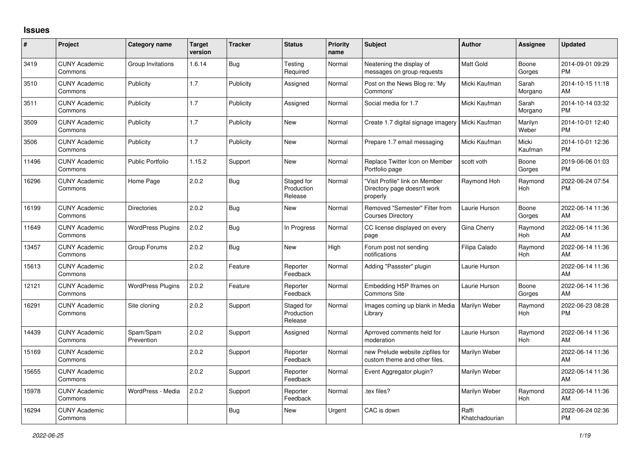## **Issues**

| #     | Project                         | <b>Category name</b>     | <b>Target</b><br>version | <b>Tracker</b> | <b>Status</b>                       | <b>Priority</b><br>name | <b>Subject</b>                                                            | <b>Author</b>           | <b>Assignee</b>  | <b>Updated</b>                |
|-------|---------------------------------|--------------------------|--------------------------|----------------|-------------------------------------|-------------------------|---------------------------------------------------------------------------|-------------------------|------------------|-------------------------------|
| 3419  | <b>CUNY Academic</b><br>Commons | Group Invitations        | 1.6.14                   | Bug            | Testing<br>Required                 | Normal                  | Neatening the display of<br>messages on group requests                    | <b>Matt Gold</b>        | Boone<br>Gorges  | 2014-09-01 09:29<br><b>PM</b> |
| 3510  | <b>CUNY Academic</b><br>Commons | Publicity                | 1.7                      | Publicity      | Assigned                            | Normal                  | Post on the News Blog re: 'My<br>Commons'                                 | Micki Kaufman           | Sarah<br>Morgano | 2014-10-15 11:18<br>AM        |
| 3511  | <b>CUNY Academic</b><br>Commons | Publicity                | 1.7                      | Publicity      | Assigned                            | Normal                  | Social media for 1.7                                                      | Micki Kaufman           | Sarah<br>Morgano | 2014-10-14 03:32<br><b>PM</b> |
| 3509  | <b>CUNY Academic</b><br>Commons | Publicity                | 1.7                      | Publicity      | <b>New</b>                          | Normal                  | Create 1.7 digital signage imagery                                        | Micki Kaufman           | Marilyn<br>Weber | 2014-10-01 12:40<br><b>PM</b> |
| 3506  | <b>CUNY Academic</b><br>Commons | Publicity                | 1.7                      | Publicity      | <b>New</b>                          | Normal                  | Prepare 1.7 email messaging                                               | Micki Kaufman           | Micki<br>Kaufman | 2014-10-01 12:36<br><b>PM</b> |
| 11496 | <b>CUNY Academic</b><br>Commons | <b>Public Portfolio</b>  | 1.15.2                   | Support        | New                                 | Normal                  | Replace Twitter Icon on Member<br>Portfolio page                          | scott voth              | Boone<br>Gorges  | 2019-06-06 01:03<br><b>PM</b> |
| 16296 | <b>CUNY Academic</b><br>Commons | Home Page                | 2.0.2                    | Bug            | Staged for<br>Production<br>Release | Normal                  | "Visit Profile" link on Member<br>Directory page doesn't work<br>properly | Raymond Hoh             | Raymond<br>Hoh   | 2022-06-24 07:54<br><b>PM</b> |
| 16199 | <b>CUNY Academic</b><br>Commons | <b>Directories</b>       | 2.0.2                    | Bug            | <b>New</b>                          | Normal                  | Removed "Semester" Filter from<br><b>Courses Directory</b>                | Laurie Hurson           | Boone<br>Gorges  | 2022-06-14 11:36<br>AM        |
| 11649 | <b>CUNY Academic</b><br>Commons | <b>WordPress Plugins</b> | 2.0.2                    | <b>Bug</b>     | In Progress                         | Normal                  | CC license displayed on every<br>page                                     | Gina Cherry             | Raymond<br>Hoh   | 2022-06-14 11:36<br>AM        |
| 13457 | <b>CUNY Academic</b><br>Commons | Group Forums             | 2.0.2                    | Bug            | <b>New</b>                          | High                    | Forum post not sending<br>notifications                                   | Filipa Calado           | Raymond<br>Hoh   | 2022-06-14 11:36<br>AM        |
| 15613 | <b>CUNY Academic</b><br>Commons |                          | 2.0.2                    | Feature        | Reporter<br>Feedback                | Normal                  | Adding "Passster" plugin                                                  | Laurie Hurson           |                  | 2022-06-14 11:36<br>AM        |
| 12121 | <b>CUNY Academic</b><br>Commons | <b>WordPress Plugins</b> | 2.0.2                    | Feature        | Reporter<br>Feedback                | Normal                  | Embedding H5P Iframes on<br><b>Commons Site</b>                           | Laurie Hurson           | Boone<br>Gorges  | 2022-06-14 11:36<br>AM        |
| 16291 | <b>CUNY Academic</b><br>Commons | Site cloning             | 2.0.2                    | Support        | Staged for<br>Production<br>Release | Normal                  | Images coming up blank in Media<br>Library                                | Marilyn Weber           | Raymond<br>Hoh   | 2022-06-23 08:28<br><b>PM</b> |
| 14439 | <b>CUNY Academic</b><br>Commons | Spam/Spam<br>Prevention  | 2.0.2                    | Support        | Assigned                            | Normal                  | Aprroved comments held for<br>moderation                                  | Laurie Hurson           | Raymond<br>Hoh   | 2022-06-14 11:36<br>AM        |
| 15169 | <b>CUNY Academic</b><br>Commons |                          | 2.0.2                    | Support        | Reporter<br>Feedback                | Normal                  | new Prelude website zipfiles for<br>custom theme and other files.         | Marilyn Weber           |                  | 2022-06-14 11:36<br>AM        |
| 15655 | <b>CUNY Academic</b><br>Commons |                          | 2.0.2                    | Support        | Reporter<br>Feedback                | Normal                  | Event Aggregator plugin?                                                  | Marilyn Weber           |                  | 2022-06-14 11:36<br>AM        |
| 15978 | <b>CUNY Academic</b><br>Commons | WordPress - Media        | 2.0.2                    | Support        | Reporter<br>Feedback                | Normal                  | tex files?                                                                | Marilyn Weber           | Raymond<br>Hoh   | 2022-06-14 11:36<br>AM        |
| 16294 | <b>CUNY Academic</b><br>Commons |                          |                          | Bug            | <b>New</b>                          | Urgent                  | CAC is down                                                               | Raffi<br>Khatchadourian |                  | 2022-06-24 02:36<br>PM        |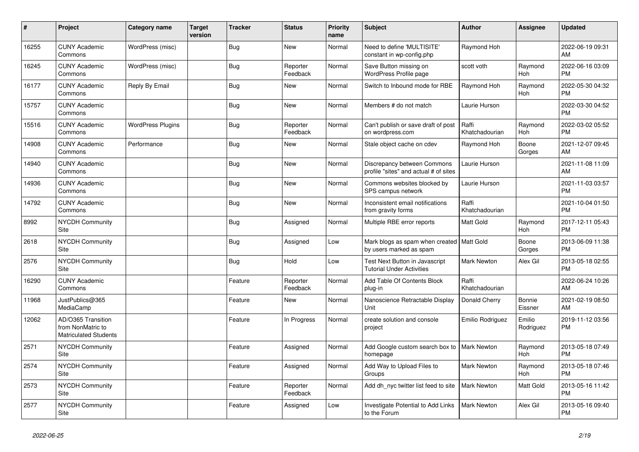| $\pmb{\#}$ | <b>Project</b>                                                          | Category name            | <b>Target</b><br>version | <b>Tracker</b> | <b>Status</b>        | <b>Priority</b><br>name | <b>Subject</b>                                                            | <b>Author</b>           | Assignee              | <b>Updated</b>                |
|------------|-------------------------------------------------------------------------|--------------------------|--------------------------|----------------|----------------------|-------------------------|---------------------------------------------------------------------------|-------------------------|-----------------------|-------------------------------|
| 16255      | <b>CUNY Academic</b><br>Commons                                         | WordPress (misc)         |                          | <b>Bug</b>     | <b>New</b>           | Normal                  | Need to define 'MULTISITE'<br>constant in wp-config.php                   | Raymond Hoh             |                       | 2022-06-19 09:31<br>AM        |
| 16245      | <b>CUNY Academic</b><br>Commons                                         | WordPress (misc)         |                          | <b>Bug</b>     | Reporter<br>Feedback | Normal                  | Save Button missing on<br>WordPress Profile page                          | scott voth              | Raymond<br>Hoh        | 2022-06-16 03:09<br><b>PM</b> |
| 16177      | <b>CUNY Academic</b><br>Commons                                         | Reply By Email           |                          | Bug            | New                  | Normal                  | Switch to Inbound mode for RBE                                            | Raymond Hoh             | Raymond<br>Hoh        | 2022-05-30 04:32<br><b>PM</b> |
| 15757      | <b>CUNY Academic</b><br>Commons                                         |                          |                          | <b>Bug</b>     | <b>New</b>           | Normal                  | Members # do not match                                                    | Laurie Hurson           |                       | 2022-03-30 04:52<br><b>PM</b> |
| 15516      | <b>CUNY Academic</b><br>Commons                                         | <b>WordPress Plugins</b> |                          | <b>Bug</b>     | Reporter<br>Feedback | Normal                  | Can't publish or save draft of post<br>on wordpress.com                   | Raffi<br>Khatchadourian | Raymond<br>Hoh        | 2022-03-02 05:52<br><b>PM</b> |
| 14908      | <b>CUNY Academic</b><br>Commons                                         | Performance              |                          | Bug            | New                  | Normal                  | Stale object cache on cdev                                                | Raymond Hoh             | Boone<br>Gorges       | 2021-12-07 09:45<br>AM        |
| 14940      | <b>CUNY Academic</b><br>Commons                                         |                          |                          | <b>Bug</b>     | <b>New</b>           | Normal                  | Discrepancy between Commons<br>profile "sites" and actual # of sites      | Laurie Hurson           |                       | 2021-11-08 11:09<br>AM        |
| 14936      | <b>CUNY Academic</b><br>Commons                                         |                          |                          | <b>Bug</b>     | <b>New</b>           | Normal                  | Commons websites blocked by<br>SPS campus network                         | Laurie Hurson           |                       | 2021-11-03 03:57<br><b>PM</b> |
| 14792      | <b>CUNY Academic</b><br>Commons                                         |                          |                          | <b>Bug</b>     | <b>New</b>           | Normal                  | Inconsistent email notifications<br>from gravity forms                    | Raffi<br>Khatchadourian |                       | 2021-10-04 01:50<br><b>PM</b> |
| 8992       | <b>NYCDH Community</b><br>Site                                          |                          |                          | <b>Bug</b>     | Assigned             | Normal                  | Multiple RBE error reports                                                | <b>Matt Gold</b>        | Raymond<br><b>Hoh</b> | 2017-12-11 05:43<br><b>PM</b> |
| 2618       | <b>NYCDH Community</b><br>Site                                          |                          |                          | Bug            | Assigned             | Low                     | Mark blogs as spam when created   Matt Gold<br>by users marked as spam    |                         | Boone<br>Gorges       | 2013-06-09 11:38<br><b>PM</b> |
| 2576       | <b>NYCDH Community</b><br><b>Site</b>                                   |                          |                          | <b>Bug</b>     | Hold                 | Low                     | <b>Test Next Button in Javascript</b><br><b>Tutorial Under Activities</b> | <b>Mark Newton</b>      | Alex Gil              | 2013-05-18 02:55<br><b>PM</b> |
| 16290      | <b>CUNY Academic</b><br>Commons                                         |                          |                          | Feature        | Reporter<br>Feedback | Normal                  | Add Table Of Contents Block<br>plug-in                                    | Raffi<br>Khatchadourian |                       | 2022-06-24 10:26<br>AM        |
| 11968      | JustPublics@365<br>MediaCamp                                            |                          |                          | Feature        | <b>New</b>           | Normal                  | Nanoscience Retractable Display<br>Unit                                   | Donald Cherry           | Bonnie<br>Eissner     | 2021-02-19 08:50<br>AM        |
| 12062      | AD/O365 Transition<br>from NonMatric to<br><b>Matriculated Students</b> |                          |                          | Feature        | In Progress          | Normal                  | create solution and console<br>project                                    | Emilio Rodriguez        | Emilio<br>Rodriguez   | 2019-11-12 03:56<br><b>PM</b> |
| 2571       | NYCDH Community<br>Site                                                 |                          |                          | Feature        | Assigned             | Normal                  | Add Google custom search box to<br>homepage                               | <b>Mark Newton</b>      | Raymond<br><b>Hoh</b> | 2013-05-18 07:49<br><b>PM</b> |
| 2574       | <b>NYCDH Community</b><br>Site                                          |                          |                          | Feature        | Assigned             | Normal                  | Add Way to Upload Files to<br>Groups                                      | <b>Mark Newton</b>      | Raymond<br>Hoh        | 2013-05-18 07:46<br><b>PM</b> |
| 2573       | <b>NYCDH Community</b><br>Site                                          |                          |                          | Feature        | Reporter<br>Feedback | Normal                  | Add dh nyc twitter list feed to site                                      | <b>Mark Newton</b>      | Matt Gold             | 2013-05-16 11:42<br><b>PM</b> |
| 2577       | NYCDH Community<br>Site                                                 |                          |                          | Feature        | Assigned             | Low                     | Investigate Potential to Add Links<br>to the Forum                        | <b>Mark Newton</b>      | Alex Gil              | 2013-05-16 09:40<br><b>PM</b> |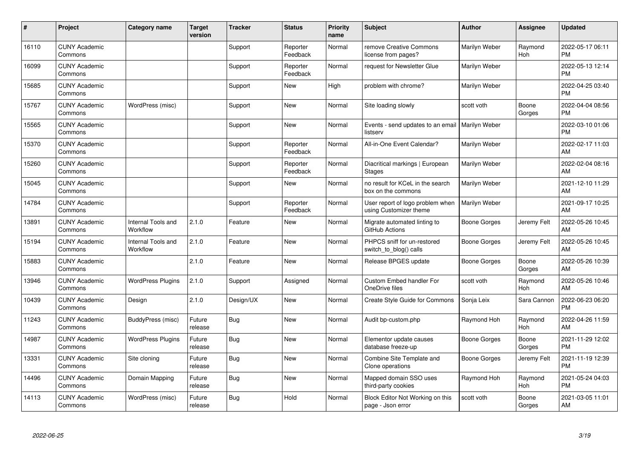| #     | Project                         | <b>Category name</b>           | <b>Target</b><br>version | <b>Tracker</b> | <b>Status</b>        | <b>Priority</b><br>name | <b>Subject</b>                                                | <b>Author</b> | <b>Assignee</b>       | <b>Updated</b>                |
|-------|---------------------------------|--------------------------------|--------------------------|----------------|----------------------|-------------------------|---------------------------------------------------------------|---------------|-----------------------|-------------------------------|
| 16110 | <b>CUNY Academic</b><br>Commons |                                |                          | Support        | Reporter<br>Feedback | Normal                  | remove Creative Commons<br>license from pages?                | Marilyn Weber | Raymond<br><b>Hoh</b> | 2022-05-17 06:11<br><b>PM</b> |
| 16099 | <b>CUNY Academic</b><br>Commons |                                |                          | Support        | Reporter<br>Feedback | Normal                  | request for Newsletter Glue                                   | Marilyn Weber |                       | 2022-05-13 12:14<br><b>PM</b> |
| 15685 | <b>CUNY Academic</b><br>Commons |                                |                          | Support        | <b>New</b>           | High                    | problem with chrome?                                          | Marilyn Weber |                       | 2022-04-25 03:40<br><b>PM</b> |
| 15767 | <b>CUNY Academic</b><br>Commons | WordPress (misc)               |                          | Support        | <b>New</b>           | Normal                  | Site loading slowly                                           | scott voth    | Boone<br>Gorges       | 2022-04-04 08:56<br><b>PM</b> |
| 15565 | <b>CUNY Academic</b><br>Commons |                                |                          | Support        | <b>New</b>           | Normal                  | Events - send updates to an email   Marilyn Weber<br>listserv |               |                       | 2022-03-10 01:06<br><b>PM</b> |
| 15370 | <b>CUNY Academic</b><br>Commons |                                |                          | Support        | Reporter<br>Feedback | Normal                  | All-in-One Event Calendar?                                    | Marilyn Weber |                       | 2022-02-17 11:03<br>AM        |
| 15260 | <b>CUNY Academic</b><br>Commons |                                |                          | Support        | Reporter<br>Feedback | Normal                  | Diacritical markings   European<br><b>Stages</b>              | Marilyn Weber |                       | 2022-02-04 08:16<br>AM        |
| 15045 | <b>CUNY Academic</b><br>Commons |                                |                          | Support        | <b>New</b>           | Normal                  | no result for KCeL in the search<br>box on the commons        | Marilyn Weber |                       | 2021-12-10 11:29<br>AM        |
| 14784 | <b>CUNY Academic</b><br>Commons |                                |                          | Support        | Reporter<br>Feedback | Normal                  | User report of logo problem when<br>using Customizer theme    | Marilyn Weber |                       | 2021-09-17 10:25<br>AM        |
| 13891 | <b>CUNY Academic</b><br>Commons | Internal Tools and<br>Workflow | 2.1.0                    | Feature        | <b>New</b>           | Normal                  | Migrate automated linting to<br>GitHub Actions                | Boone Gorges  | Jeremy Felt           | 2022-05-26 10:45<br>AM        |
| 15194 | <b>CUNY Academic</b><br>Commons | Internal Tools and<br>Workflow | 2.1.0                    | Feature        | <b>New</b>           | Normal                  | PHPCS sniff for un-restored<br>switch_to_blog() calls         | Boone Gorges  | Jeremy Felt           | 2022-05-26 10:45<br>AM        |
| 15883 | <b>CUNY Academic</b><br>Commons |                                | 2.1.0                    | Feature        | <b>New</b>           | Normal                  | Release BPGES update                                          | Boone Gorges  | Boone<br>Gorges       | 2022-05-26 10:39<br>AM        |
| 13946 | <b>CUNY Academic</b><br>Commons | <b>WordPress Plugins</b>       | 2.1.0                    | Support        | Assigned             | Normal                  | Custom Embed handler For<br>OneDrive files                    | scott voth    | Raymond<br><b>Hoh</b> | 2022-05-26 10:46<br>AM        |
| 10439 | <b>CUNY Academic</b><br>Commons | Design                         | 2.1.0                    | Design/UX      | <b>New</b>           | Normal                  | <b>Create Style Guide for Commons</b>                         | Sonja Leix    | Sara Cannon           | 2022-06-23 06:20<br><b>PM</b> |
| 11243 | <b>CUNY Academic</b><br>Commons | BuddyPress (misc)              | Future<br>release        | Bug            | <b>New</b>           | Normal                  | Audit bp-custom.php                                           | Raymond Hoh   | Raymond<br>Hoh        | 2022-04-26 11:59<br>AM        |
| 14987 | <b>CUNY Academic</b><br>Commons | <b>WordPress Plugins</b>       | Future<br>release        | Bug            | <b>New</b>           | Normal                  | Elementor update causes<br>database freeze-up                 | Boone Gorges  | Boone<br>Gorges       | 2021-11-29 12:02<br><b>PM</b> |
| 13331 | <b>CUNY Academic</b><br>Commons | Site cloning                   | Future<br>release        | <b>Bug</b>     | <b>New</b>           | Normal                  | Combine Site Template and<br>Clone operations                 | Boone Gorges  | Jeremy Felt           | 2021-11-19 12:39<br><b>PM</b> |
| 14496 | <b>CUNY Academic</b><br>Commons | Domain Mapping                 | Future<br>release        | <b>Bug</b>     | <b>New</b>           | Normal                  | Mapped domain SSO uses<br>third-party cookies                 | Raymond Hoh   | Raymond<br>Hoh        | 2021-05-24 04:03<br><b>PM</b> |
| 14113 | <b>CUNY Academic</b><br>Commons | WordPress (misc)               | Future<br>release        | <b>Bug</b>     | Hold                 | Normal                  | Block Editor Not Working on this<br>page - Json error         | scott voth    | Boone<br>Gorges       | 2021-03-05 11:01<br>AM        |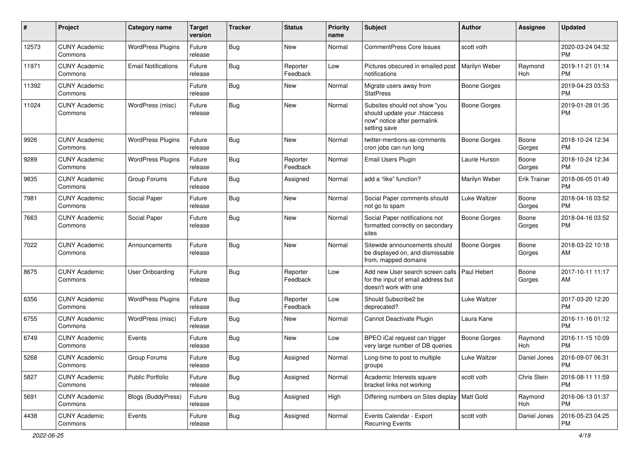| #     | Project                         | <b>Category name</b>       | <b>Target</b><br>version | <b>Tracker</b> | <b>Status</b>        | <b>Priority</b><br>name | <b>Subject</b>                                                                                               | Author              | <b>Assignee</b>     | <b>Updated</b>                |
|-------|---------------------------------|----------------------------|--------------------------|----------------|----------------------|-------------------------|--------------------------------------------------------------------------------------------------------------|---------------------|---------------------|-------------------------------|
| 12573 | <b>CUNY Academic</b><br>Commons | <b>WordPress Plugins</b>   | Future<br>release        | Bug            | <b>New</b>           | Normal                  | <b>CommentPress Core Issues</b>                                                                              | scott voth          |                     | 2020-03-24 04:32<br><b>PM</b> |
| 11971 | <b>CUNY Academic</b><br>Commons | <b>Email Notifications</b> | Future<br>release        | Bug            | Reporter<br>Feedback | Low                     | Pictures obscured in emailed post<br>notifications                                                           | Marilyn Weber       | Raymond<br>Hoh      | 2019-11-21 01:14<br><b>PM</b> |
| 11392 | <b>CUNY Academic</b><br>Commons |                            | Future<br>release        | Bug            | <b>New</b>           | Normal                  | Migrate users away from<br><b>StatPress</b>                                                                  | <b>Boone Gorges</b> |                     | 2019-04-23 03:53<br><b>PM</b> |
| 11024 | <b>CUNY Academic</b><br>Commons | WordPress (misc)           | Future<br>release        | Bug            | <b>New</b>           | Normal                  | Subsites should not show "you<br>should update your .htaccess<br>now" notice after permalink<br>setting save | <b>Boone Gorges</b> |                     | 2019-01-28 01:35<br><b>PM</b> |
| 9926  | <b>CUNY Academic</b><br>Commons | <b>WordPress Plugins</b>   | Future<br>release        | Bug            | <b>New</b>           | Normal                  | twitter-mentions-as-comments<br>cron jobs can run long                                                       | <b>Boone Gorges</b> | Boone<br>Gorges     | 2018-10-24 12:34<br><b>PM</b> |
| 9289  | <b>CUNY Academic</b><br>Commons | <b>WordPress Plugins</b>   | Future<br>release        | Bug            | Reporter<br>Feedback | Normal                  | Email Users Plugin                                                                                           | Laurie Hurson       | Boone<br>Gorges     | 2018-10-24 12:34<br><b>PM</b> |
| 9835  | <b>CUNY Academic</b><br>Commons | Group Forums               | Future<br>release        | <b>Bug</b>     | Assigned             | Normal                  | add a "like" function?                                                                                       | Marilyn Weber       | <b>Erik Trainer</b> | 2018-06-05 01:49<br><b>PM</b> |
| 7981  | <b>CUNY Academic</b><br>Commons | Social Paper               | Future<br>release        | <b>Bug</b>     | <b>New</b>           | Normal                  | Social Paper comments should<br>not go to spam                                                               | Luke Waltzer        | Boone<br>Gorges     | 2018-04-16 03:52<br><b>PM</b> |
| 7663  | <b>CUNY Academic</b><br>Commons | Social Paper               | Future<br>release        | Bug            | <b>New</b>           | Normal                  | Social Paper notifications not<br>formatted correctly on secondary<br>sites                                  | <b>Boone Gorges</b> | Boone<br>Gorges     | 2018-04-16 03:52<br><b>PM</b> |
| 7022  | <b>CUNY Academic</b><br>Commons | Announcements              | Future<br>release        | <b>Bug</b>     | <b>New</b>           | Normal                  | Sitewide announcements should<br>be displayed on, and dismissable<br>from, mapped domains                    | <b>Boone Gorges</b> | Boone<br>Gorges     | 2018-03-22 10:18<br>AM        |
| 8675  | <b>CUNY Academic</b><br>Commons | <b>User Onboarding</b>     | Future<br>release        | Bug            | Reporter<br>Feedback | Low                     | Add new User search screen calls<br>for the input of email address but<br>doesn't work with one              | Paul Hebert         | Boone<br>Gorges     | 2017-10-11 11:17<br>AM        |
| 6356  | <b>CUNY Academic</b><br>Commons | <b>WordPress Plugins</b>   | Future<br>release        | Bug            | Reporter<br>Feedback | Low                     | Should Subscribe2 be<br>deprecated?                                                                          | Luke Waltzer        |                     | 2017-03-20 12:20<br><b>PM</b> |
| 6755  | <b>CUNY Academic</b><br>Commons | WordPress (misc)           | Future<br>release        | Bug            | New                  | Normal                  | Cannot Deactivate Plugin                                                                                     | Laura Kane          |                     | 2016-11-16 01:12<br><b>PM</b> |
| 6749  | <b>CUNY Academic</b><br>Commons | Events                     | Future<br>release        | <b>Bug</b>     | <b>New</b>           | Low                     | BPEO iCal request can trigger<br>very large number of DB queries                                             | <b>Boone Gorges</b> | Raymond<br>Hoh      | 2016-11-15 10:09<br><b>PM</b> |
| 5268  | <b>CUNY Academic</b><br>Commons | Group Forums               | Future<br>release        | <b>Bug</b>     | Assigned             | Normal                  | Long-time to post to multiple<br>groups                                                                      | Luke Waltzer        | Daniel Jones        | 2016-09-07 06:31<br>PM        |
| 5827  | <b>CUNY Academic</b><br>Commons | Public Portfolio           | Future<br>release        | <b>Bug</b>     | Assigned             | Normal                  | Academic Interests square<br>bracket links not working                                                       | scott voth          | Chris Stein         | 2016-08-11 11:59<br>PM        |
| 5691  | <b>CUNY Academic</b><br>Commons | <b>Blogs (BuddyPress)</b>  | Future<br>release        | Bug            | Assigned             | High                    | Differing numbers on Sites display   Matt Gold                                                               |                     | Raymond<br>Hoh      | 2016-06-13 01:37<br><b>PM</b> |
| 4438  | <b>CUNY Academic</b><br>Commons | Events                     | Future<br>release        | <b>Bug</b>     | Assigned             | Normal                  | Events Calendar - Export<br><b>Recurring Events</b>                                                          | scott voth          | Daniel Jones        | 2016-05-23 04:25<br>PM        |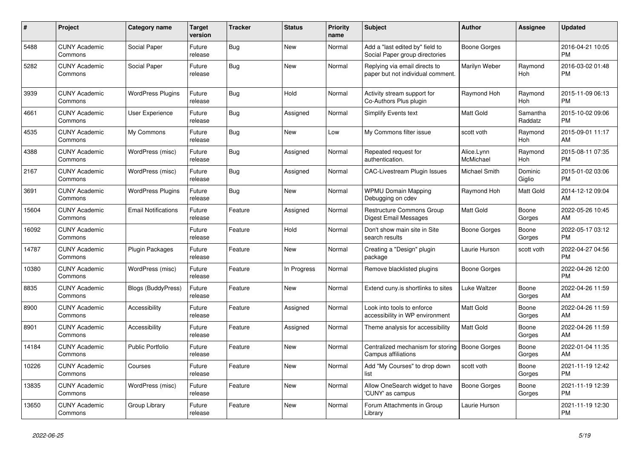| #     | <b>Project</b>                  | <b>Category name</b>       | Target<br>version | Tracker    | <b>Status</b> | <b>Priority</b><br>name | <b>Subject</b>                                                     | <b>Author</b>           | <b>Assignee</b>       | <b>Updated</b>                |
|-------|---------------------------------|----------------------------|-------------------|------------|---------------|-------------------------|--------------------------------------------------------------------|-------------------------|-----------------------|-------------------------------|
| 5488  | <b>CUNY Academic</b><br>Commons | Social Paper               | Future<br>release | <b>Bug</b> | <b>New</b>    | Normal                  | Add a "last edited by" field to<br>Social Paper group directories  | Boone Gorges            |                       | 2016-04-21 10:05<br><b>PM</b> |
| 5282  | <b>CUNY Academic</b><br>Commons | Social Paper               | Future<br>release | Bug        | <b>New</b>    | Normal                  | Replying via email directs to<br>paper but not individual comment. | Marilyn Weber           | Raymond<br>Hoh        | 2016-03-02 01:48<br><b>PM</b> |
| 3939  | <b>CUNY Academic</b><br>Commons | <b>WordPress Plugins</b>   | Future<br>release | Bug        | Hold          | Normal                  | Activity stream support for<br>Co-Authors Plus plugin              | Raymond Hoh             | Raymond<br><b>Hoh</b> | 2015-11-09 06:13<br><b>PM</b> |
| 4661  | <b>CUNY Academic</b><br>Commons | <b>User Experience</b>     | Future<br>release | <b>Bug</b> | Assigned      | Normal                  | Simplify Events text                                               | <b>Matt Gold</b>        | Samantha<br>Raddatz   | 2015-10-02 09:06<br><b>PM</b> |
| 4535  | <b>CUNY Academic</b><br>Commons | My Commons                 | Future<br>release | Bug        | <b>New</b>    | Low                     | My Commons filter issue                                            | scott voth              | Raymond<br>Hoh        | 2015-09-01 11:17<br>AM        |
| 4388  | <b>CUNY Academic</b><br>Commons | WordPress (misc)           | Future<br>release | Bug        | Assigned      | Normal                  | Repeated request for<br>authentication.                            | Alice.Lynn<br>McMichael | Raymond<br><b>Hoh</b> | 2015-08-11 07:35<br><b>PM</b> |
| 2167  | <b>CUNY Academic</b><br>Commons | WordPress (misc)           | Future<br>release | <b>Bug</b> | Assigned      | Normal                  | <b>CAC-Livestream Plugin Issues</b>                                | Michael Smith           | Dominic<br>Giglio     | 2015-01-02 03:06<br><b>PM</b> |
| 3691  | <b>CUNY Academic</b><br>Commons | <b>WordPress Plugins</b>   | Future<br>release | <b>Bug</b> | New           | Normal                  | <b>WPMU Domain Mapping</b><br>Debugging on cdev                    | Raymond Hoh             | Matt Gold             | 2014-12-12 09:04<br>AM        |
| 15604 | <b>CUNY Academic</b><br>Commons | <b>Email Notifications</b> | Future<br>release | Feature    | Assigned      | Normal                  | <b>Restructure Commons Group</b><br>Digest Email Messages          | Matt Gold               | Boone<br>Gorges       | 2022-05-26 10:45<br>AM        |
| 16092 | <b>CUNY Academic</b><br>Commons |                            | Future<br>release | Feature    | Hold          | Normal                  | Don't show main site in Site<br>search results                     | Boone Gorges            | Boone<br>Gorges       | 2022-05-17 03:12<br><b>PM</b> |
| 14787 | <b>CUNY Academic</b><br>Commons | <b>Plugin Packages</b>     | Future<br>release | Feature    | <b>New</b>    | Normal                  | Creating a "Design" plugin<br>package                              | Laurie Hurson           | scott voth            | 2022-04-27 04:56<br><b>PM</b> |
| 10380 | <b>CUNY Academic</b><br>Commons | WordPress (misc)           | Future<br>release | Feature    | In Progress   | Normal                  | Remove blacklisted plugins                                         | Boone Gorges            |                       | 2022-04-26 12:00<br><b>PM</b> |
| 8835  | <b>CUNY Academic</b><br>Commons | <b>Blogs (BuddyPress)</b>  | Future<br>release | Feature    | New           | Normal                  | Extend cuny.is shortlinks to sites                                 | Luke Waltzer            | Boone<br>Gorges       | 2022-04-26 11:59<br>AM        |
| 8900  | <b>CUNY Academic</b><br>Commons | Accessibility              | Future<br>release | Feature    | Assigned      | Normal                  | Look into tools to enforce<br>accessibility in WP environment      | <b>Matt Gold</b>        | Boone<br>Gorges       | 2022-04-26 11:59<br>AM        |
| 8901  | <b>CUNY Academic</b><br>Commons | Accessibility              | Future<br>release | Feature    | Assigned      | Normal                  | Theme analysis for accessibility                                   | Matt Gold               | Boone<br>Gorges       | 2022-04-26 11:59<br>AM        |
| 14184 | <b>CUNY Academic</b><br>Commons | <b>Public Portfolio</b>    | Future<br>release | Feature    | <b>New</b>    | Normal                  | Centralized mechanism for storing<br><b>Campus affiliations</b>    | <b>Boone Gorges</b>     | Boone<br>Gorges       | 2022-01-04 11:35<br>AM        |
| 10226 | <b>CUNY Academic</b><br>Commons | Courses                    | Future<br>release | Feature    | <b>New</b>    | Normal                  | Add "My Courses" to drop down<br>list                              | scott voth              | Boone<br>Gorges       | 2021-11-19 12:42<br><b>PM</b> |
| 13835 | <b>CUNY Academic</b><br>Commons | WordPress (misc)           | Future<br>release | Feature    | <b>New</b>    | Normal                  | Allow OneSearch widget to have<br>'CUNY' as campus                 | Boone Gorges            | Boone<br>Gorges       | 2021-11-19 12:39<br><b>PM</b> |
| 13650 | <b>CUNY Academic</b><br>Commons | Group Library              | Future<br>release | Feature    | <b>New</b>    | Normal                  | Forum Attachments in Group<br>Library                              | Laurie Hurson           |                       | 2021-11-19 12:30<br><b>PM</b> |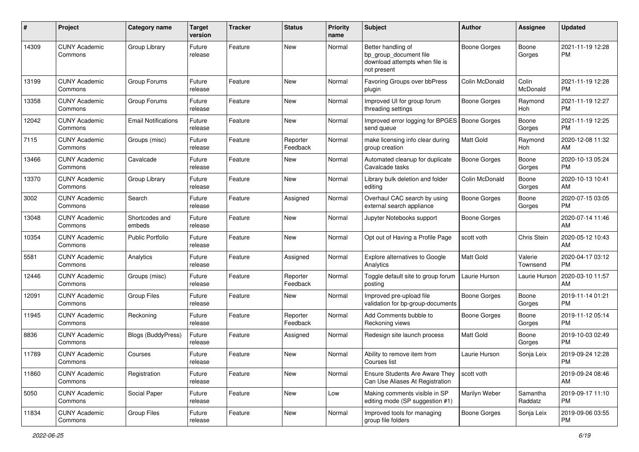| #     | Project                         | <b>Category name</b>       | <b>Target</b><br>version | <b>Tracker</b> | <b>Status</b>        | <b>Priority</b><br>name | <b>Subject</b>                                                                                | Author              | Assignee            | <b>Updated</b>                |
|-------|---------------------------------|----------------------------|--------------------------|----------------|----------------------|-------------------------|-----------------------------------------------------------------------------------------------|---------------------|---------------------|-------------------------------|
| 14309 | <b>CUNY Academic</b><br>Commons | Group Library              | Future<br>release        | Feature        | <b>New</b>           | Normal                  | Better handling of<br>bp_group_document file<br>download attempts when file is<br>not present | <b>Boone Gorges</b> | Boone<br>Gorges     | 2021-11-19 12:28<br><b>PM</b> |
| 13199 | <b>CUNY Academic</b><br>Commons | Group Forums               | Future<br>release        | Feature        | New                  | Normal                  | Favoring Groups over bbPress<br>plugin                                                        | Colin McDonald      | Colin<br>McDonald   | 2021-11-19 12:28<br><b>PM</b> |
| 13358 | <b>CUNY Academic</b><br>Commons | Group Forums               | Future<br>release        | Feature        | <b>New</b>           | Normal                  | Improved UI for group forum<br>threading settings                                             | <b>Boone Gorges</b> | Raymond<br>Hoh      | 2021-11-19 12:27<br><b>PM</b> |
| 12042 | <b>CUNY Academic</b><br>Commons | <b>Email Notifications</b> | Future<br>release        | Feature        | <b>New</b>           | Normal                  | Improved error logging for BPGES   Boone Gorges<br>send queue                                 |                     | Boone<br>Gorges     | 2021-11-19 12:25<br><b>PM</b> |
| 7115  | <b>CUNY Academic</b><br>Commons | Groups (misc)              | Future<br>release        | Feature        | Reporter<br>Feedback | Normal                  | make licensing info clear during<br>group creation                                            | Matt Gold           | Raymond<br>Hoh      | 2020-12-08 11:32<br>AM        |
| 13466 | <b>CUNY Academic</b><br>Commons | Cavalcade                  | Future<br>release        | Feature        | <b>New</b>           | Normal                  | Automated cleanup for duplicate<br>Cavalcade tasks                                            | Boone Gorges        | Boone<br>Gorges     | 2020-10-13 05:24<br><b>PM</b> |
| 13370 | <b>CUNY Academic</b><br>Commons | Group Library              | Future<br>release        | Feature        | <b>New</b>           | Normal                  | Library bulk deletion and folder<br>editing                                                   | Colin McDonald      | Boone<br>Gorges     | 2020-10-13 10:41<br>AM        |
| 3002  | <b>CUNY Academic</b><br>Commons | Search                     | Future<br>release        | Feature        | Assigned             | Normal                  | Overhaul CAC search by using<br>external search appliance                                     | Boone Gorges        | Boone<br>Gorges     | 2020-07-15 03:05<br>PM        |
| 13048 | <b>CUNY Academic</b><br>Commons | Shortcodes and<br>embeds   | Future<br>release        | Feature        | New                  | Normal                  | Jupyter Notebooks support                                                                     | <b>Boone Gorges</b> |                     | 2020-07-14 11:46<br>AM        |
| 10354 | <b>CUNY Academic</b><br>Commons | <b>Public Portfolio</b>    | Future<br>release        | Feature        | <b>New</b>           | Normal                  | Opt out of Having a Profile Page                                                              | scott voth          | Chris Stein         | 2020-05-12 10:43<br>AM        |
| 5581  | <b>CUNY Academic</b><br>Commons | Analytics                  | Future<br>release        | Feature        | Assigned             | Normal                  | Explore alternatives to Google<br>Analytics                                                   | Matt Gold           | Valerie<br>Townsend | 2020-04-17 03:12<br><b>PM</b> |
| 12446 | <b>CUNY Academic</b><br>Commons | Groups (misc)              | Future<br>release        | Feature        | Reporter<br>Feedback | Normal                  | Toggle default site to group forum<br>posting                                                 | Laurie Hurson       | Laurie Hurson       | 2020-03-10 11:57<br>AM        |
| 12091 | <b>CUNY Academic</b><br>Commons | <b>Group Files</b>         | Future<br>release        | Feature        | New                  | Normal                  | Improved pre-upload file<br>validation for bp-group-documents                                 | Boone Gorges        | Boone<br>Gorges     | 2019-11-14 01:21<br><b>PM</b> |
| 11945 | <b>CUNY Academic</b><br>Commons | Reckoning                  | Future<br>release        | Feature        | Reporter<br>Feedback | Normal                  | Add Comments bubble to<br>Reckoning views                                                     | Boone Gorges        | Boone<br>Gorges     | 2019-11-12 05:14<br><b>PM</b> |
| 8836  | <b>CUNY Academic</b><br>Commons | <b>Blogs (BuddyPress)</b>  | Future<br>release        | Feature        | Assigned             | Normal                  | Redesign site launch process                                                                  | Matt Gold           | Boone<br>Gorges     | 2019-10-03 02:49<br><b>PM</b> |
| 11789 | <b>CUNY Academic</b><br>Commons | Courses                    | Future<br>release        | Feature        | New                  | Normal                  | Ability to remove item from<br>Courses list                                                   | Laurie Hurson       | Sonja Leix          | 2019-09-24 12:28<br>PM        |
| 11860 | <b>CUNY Academic</b><br>Commons | Registration               | Future<br>release        | Feature        | New                  | Normal                  | Ensure Students Are Aware They<br>Can Use Aliases At Registration                             | scott voth          |                     | 2019-09-24 08:46<br>AM        |
| 5050  | <b>CUNY Academic</b><br>Commons | Social Paper               | Future<br>release        | Feature        | New                  | Low                     | Making comments visible in SP<br>editing mode (SP suggestion #1)                              | Marilyn Weber       | Samantha<br>Raddatz | 2019-09-17 11:10<br><b>PM</b> |
| 11834 | <b>CUNY Academic</b><br>Commons | Group Files                | Future<br>release        | Feature        | New                  | Normal                  | Improved tools for managing<br>group file folders                                             | <b>Boone Gorges</b> | Sonja Leix          | 2019-09-06 03:55<br>PM        |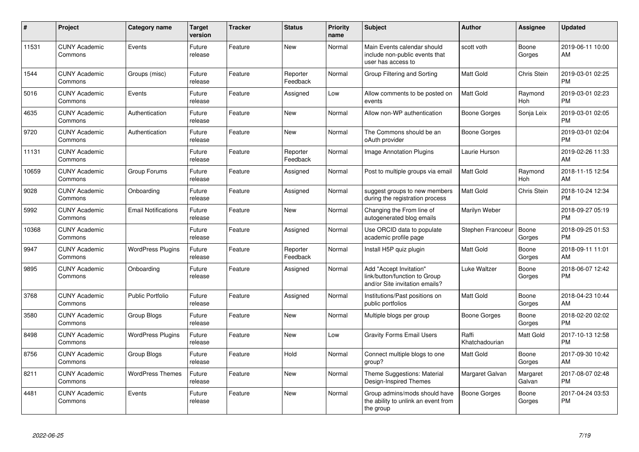| #     | <b>Project</b>                  | <b>Category name</b>       | <b>Target</b><br>version | <b>Tracker</b> | <b>Status</b>        | <b>Priority</b><br>name | <b>Subject</b>                                                                             | <b>Author</b>           | <b>Assignee</b>       | <b>Updated</b>                |
|-------|---------------------------------|----------------------------|--------------------------|----------------|----------------------|-------------------------|--------------------------------------------------------------------------------------------|-------------------------|-----------------------|-------------------------------|
| 11531 | <b>CUNY Academic</b><br>Commons | Events                     | Future<br>release        | Feature        | <b>New</b>           | Normal                  | Main Events calendar should<br>include non-public events that<br>user has access to        | scott voth              | Boone<br>Gorges       | 2019-06-11 10:00<br>AM        |
| 1544  | <b>CUNY Academic</b><br>Commons | Groups (misc)              | Future<br>release        | Feature        | Reporter<br>Feedback | Normal                  | Group Filtering and Sorting                                                                | Matt Gold               | Chris Stein           | 2019-03-01 02:25<br><b>PM</b> |
| 5016  | <b>CUNY Academic</b><br>Commons | Events                     | Future<br>release        | Feature        | Assigned             | Low                     | Allow comments to be posted on<br>events                                                   | <b>Matt Gold</b>        | Raymond<br>Hoh        | 2019-03-01 02:23<br><b>PM</b> |
| 4635  | <b>CUNY Academic</b><br>Commons | Authentication             | Future<br>release        | Feature        | <b>New</b>           | Normal                  | Allow non-WP authentication                                                                | Boone Gorges            | Sonja Leix            | 2019-03-01 02:05<br><b>PM</b> |
| 9720  | <b>CUNY Academic</b><br>Commons | Authentication             | Future<br>release        | Feature        | <b>New</b>           | Normal                  | The Commons should be an<br>oAuth provider                                                 | Boone Gorges            |                       | 2019-03-01 02:04<br><b>PM</b> |
| 11131 | <b>CUNY Academic</b><br>Commons |                            | Future<br>release        | Feature        | Reporter<br>Feedback | Normal                  | <b>Image Annotation Plugins</b>                                                            | Laurie Hurson           |                       | 2019-02-26 11:33<br>AM        |
| 10659 | <b>CUNY Academic</b><br>Commons | Group Forums               | Future<br>release        | Feature        | Assigned             | Normal                  | Post to multiple groups via email                                                          | Matt Gold               | Raymond<br><b>Hoh</b> | 2018-11-15 12:54<br>AM        |
| 9028  | <b>CUNY Academic</b><br>Commons | Onboarding                 | Future<br>release        | Feature        | Assigned             | Normal                  | suggest groups to new members<br>during the registration process                           | Matt Gold               | Chris Stein           | 2018-10-24 12:34<br><b>PM</b> |
| 5992  | <b>CUNY Academic</b><br>Commons | <b>Email Notifications</b> | Future<br>release        | Feature        | <b>New</b>           | Normal                  | Changing the From line of<br>autogenerated blog emails                                     | Marilyn Weber           |                       | 2018-09-27 05:19<br><b>PM</b> |
| 10368 | <b>CUNY Academic</b><br>Commons |                            | Future<br>release        | Feature        | Assigned             | Normal                  | Use ORCID data to populate<br>academic profile page                                        | Stephen Francoeur       | Boone<br>Gorges       | 2018-09-25 01:53<br><b>PM</b> |
| 9947  | <b>CUNY Academic</b><br>Commons | <b>WordPress Plugins</b>   | Future<br>release        | Feature        | Reporter<br>Feedback | Normal                  | Install H5P quiz plugin                                                                    | Matt Gold               | Boone<br>Gorges       | 2018-09-11 11:01<br>AM        |
| 9895  | <b>CUNY Academic</b><br>Commons | Onboarding                 | Future<br>release        | Feature        | Assigned             | Normal                  | Add "Accept Invitation"<br>link/button/function to Group<br>and/or Site invitation emails? | Luke Waltzer            | Boone<br>Gorges       | 2018-06-07 12:42<br><b>PM</b> |
| 3768  | <b>CUNY Academic</b><br>Commons | <b>Public Portfolio</b>    | Future<br>release        | Feature        | Assigned             | Normal                  | Institutions/Past positions on<br>public portfolios                                        | <b>Matt Gold</b>        | Boone<br>Gorges       | 2018-04-23 10:44<br>AM        |
| 3580  | <b>CUNY Academic</b><br>Commons | Group Blogs                | Future<br>release        | Feature        | <b>New</b>           | Normal                  | Multiple blogs per group                                                                   | Boone Gorges            | Boone<br>Gorges       | 2018-02-20 02:02<br><b>PM</b> |
| 8498  | <b>CUNY Academic</b><br>Commons | <b>WordPress Plugins</b>   | Future<br>release        | Feature        | <b>New</b>           | Low                     | <b>Gravity Forms Email Users</b>                                                           | Raffi<br>Khatchadourian | Matt Gold             | 2017-10-13 12:58<br><b>PM</b> |
| 8756  | <b>CUNY Academic</b><br>Commons | Group Blogs                | Future<br>release        | Feature        | Hold                 | Normal                  | Connect multiple blogs to one<br>group?                                                    | Matt Gold               | Boone<br>Gorges       | 2017-09-30 10:42<br>AM        |
| 8211  | <b>CUNY Academic</b><br>Commons | <b>WordPress Themes</b>    | Future<br>release        | Feature        | <b>New</b>           | Normal                  | Theme Suggestions: Material<br>Design-Inspired Themes                                      | Margaret Galvan         | Margaret<br>Galvan    | 2017-08-07 02:48<br><b>PM</b> |
| 4481  | <b>CUNY Academic</b><br>Commons | Events                     | Future<br>release        | Feature        | <b>New</b>           | Normal                  | Group admins/mods should have<br>the ability to unlink an event from<br>the group          | Boone Gorges            | Boone<br>Gorges       | 2017-04-24 03:53<br><b>PM</b> |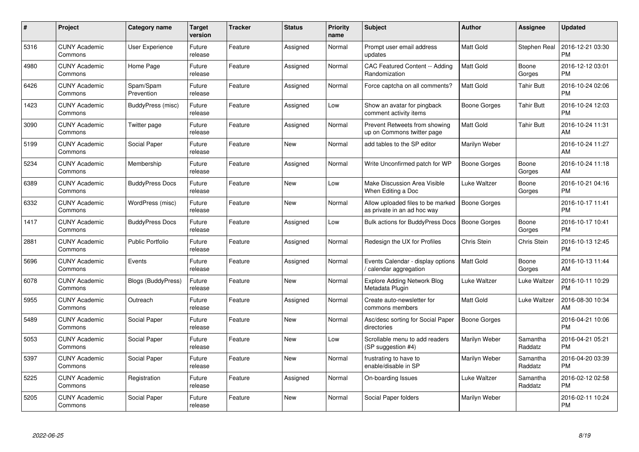| $\pmb{\#}$ | Project                         | <b>Category name</b>      | <b>Target</b><br>version | <b>Tracker</b> | <b>Status</b> | <b>Priority</b><br>name | <b>Subject</b>                                                   | Author              | <b>Assignee</b>     | <b>Updated</b>                |
|------------|---------------------------------|---------------------------|--------------------------|----------------|---------------|-------------------------|------------------------------------------------------------------|---------------------|---------------------|-------------------------------|
| 5316       | <b>CUNY Academic</b><br>Commons | User Experience           | Future<br>release        | Feature        | Assigned      | Normal                  | Prompt user email address<br>updates                             | <b>Matt Gold</b>    | Stephen Real        | 2016-12-21 03:30<br><b>PM</b> |
| 4980       | <b>CUNY Academic</b><br>Commons | Home Page                 | Future<br>release        | Feature        | Assigned      | Normal                  | CAC Featured Content -- Adding<br>Randomization                  | <b>Matt Gold</b>    | Boone<br>Gorges     | 2016-12-12 03:01<br><b>PM</b> |
| 6426       | <b>CUNY Academic</b><br>Commons | Spam/Spam<br>Prevention   | Future<br>release        | Feature        | Assigned      | Normal                  | Force captcha on all comments?                                   | <b>Matt Gold</b>    | <b>Tahir Butt</b>   | 2016-10-24 02:06<br><b>PM</b> |
| 1423       | <b>CUNY Academic</b><br>Commons | BuddyPress (misc)         | Future<br>release        | Feature        | Assigned      | Low                     | Show an avatar for pingback<br>comment activity items            | Boone Gorges        | <b>Tahir Butt</b>   | 2016-10-24 12:03<br><b>PM</b> |
| 3090       | <b>CUNY Academic</b><br>Commons | Twitter page              | Future<br>release        | Feature        | Assigned      | Normal                  | Prevent Retweets from showing<br>up on Commons twitter page      | Matt Gold           | <b>Tahir Butt</b>   | 2016-10-24 11:31<br>AM        |
| 5199       | <b>CUNY Academic</b><br>Commons | Social Paper              | Future<br>release        | Feature        | <b>New</b>    | Normal                  | add tables to the SP editor                                      | Marilyn Weber       |                     | 2016-10-24 11:27<br>AM        |
| 5234       | <b>CUNY Academic</b><br>Commons | Membership                | Future<br>release        | Feature        | Assigned      | Normal                  | Write Unconfirmed patch for WP                                   | <b>Boone Gorges</b> | Boone<br>Gorges     | 2016-10-24 11:18<br>AM        |
| 6389       | <b>CUNY Academic</b><br>Commons | <b>BuddyPress Docs</b>    | Future<br>release        | Feature        | <b>New</b>    | Low                     | Make Discussion Area Visible<br>When Editing a Doc               | Luke Waltzer        | Boone<br>Gorges     | 2016-10-21 04:16<br><b>PM</b> |
| 6332       | <b>CUNY Academic</b><br>Commons | WordPress (misc)          | Future<br>release        | Feature        | <b>New</b>    | Normal                  | Allow uploaded files to be marked<br>as private in an ad hoc way | <b>Boone Gorges</b> |                     | 2016-10-17 11:41<br><b>PM</b> |
| 1417       | <b>CUNY Academic</b><br>Commons | <b>BuddyPress Docs</b>    | Future<br>release        | Feature        | Assigned      | Low                     | Bulk actions for BuddyPress Docs                                 | <b>Boone Gorges</b> | Boone<br>Gorges     | 2016-10-17 10:41<br><b>PM</b> |
| 2881       | <b>CUNY Academic</b><br>Commons | <b>Public Portfolio</b>   | Future<br>release        | Feature        | Assigned      | Normal                  | Redesign the UX for Profiles                                     | Chris Stein         | Chris Stein         | 2016-10-13 12:45<br><b>PM</b> |
| 5696       | <b>CUNY Academic</b><br>Commons | Events                    | Future<br>release        | Feature        | Assigned      | Normal                  | Events Calendar - display options<br>calendar aggregation        | <b>Matt Gold</b>    | Boone<br>Gorges     | 2016-10-13 11:44<br>AM        |
| 6078       | <b>CUNY Academic</b><br>Commons | <b>Blogs (BuddyPress)</b> | Future<br>release        | Feature        | New           | Normal                  | <b>Explore Adding Network Blog</b><br>Metadata Plugin            | Luke Waltzer        | Luke Waltzer        | 2016-10-11 10:29<br><b>PM</b> |
| 5955       | <b>CUNY Academic</b><br>Commons | Outreach                  | Future<br>release        | Feature        | Assigned      | Normal                  | Create auto-newsletter for<br>commons members                    | <b>Matt Gold</b>    | Luke Waltzer        | 2016-08-30 10:34<br>AM        |
| 5489       | <b>CUNY Academic</b><br>Commons | Social Paper              | Future<br>release        | Feature        | New           | Normal                  | Asc/desc sorting for Social Paper<br>directories                 | <b>Boone Gorges</b> |                     | 2016-04-21 10:06<br><b>PM</b> |
| 5053       | <b>CUNY Academic</b><br>Commons | Social Paper              | Future<br>release        | Feature        | <b>New</b>    | Low                     | Scrollable menu to add readers<br>(SP suggestion #4)             | Marilyn Weber       | Samantha<br>Raddatz | 2016-04-21 05:21<br><b>PM</b> |
| 5397       | <b>CUNY Academic</b><br>Commons | Social Paper              | Future<br>release        | Feature        | <b>New</b>    | Normal                  | frustrating to have to<br>enable/disable in SP                   | Marilyn Weber       | Samantha<br>Raddatz | 2016-04-20 03:39<br><b>PM</b> |
| 5225       | <b>CUNY Academic</b><br>Commons | Registration              | Future<br>release        | Feature        | Assigned      | Normal                  | On-boarding Issues                                               | Luke Waltzer        | Samantha<br>Raddatz | 2016-02-12 02:58<br><b>PM</b> |
| 5205       | <b>CUNY Academic</b><br>Commons | Social Paper              | Future<br>release        | Feature        | <b>New</b>    | Normal                  | Social Paper folders                                             | Marilyn Weber       |                     | 2016-02-11 10:24<br>PM        |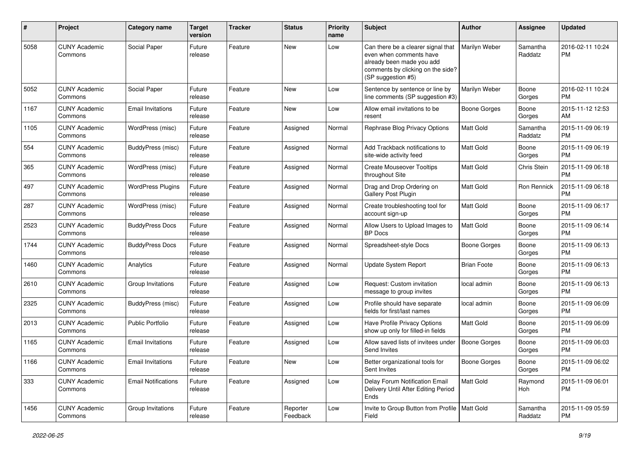| #    | Project                         | <b>Category name</b>       | <b>Target</b><br>version | <b>Tracker</b> | <b>Status</b>        | <b>Priority</b><br>name | <b>Subject</b>                                                                                                                                        | Author              | <b>Assignee</b>     | <b>Updated</b>                |
|------|---------------------------------|----------------------------|--------------------------|----------------|----------------------|-------------------------|-------------------------------------------------------------------------------------------------------------------------------------------------------|---------------------|---------------------|-------------------------------|
| 5058 | <b>CUNY Academic</b><br>Commons | Social Paper               | Future<br>release        | Feature        | New                  | Low                     | Can there be a clearer signal that<br>even when comments have<br>already been made you add<br>comments by clicking on the side?<br>(SP suggestion #5) | Marilyn Weber       | Samantha<br>Raddatz | 2016-02-11 10:24<br>РM        |
| 5052 | <b>CUNY Academic</b><br>Commons | Social Paper               | Future<br>release        | Feature        | New                  | Low                     | Sentence by sentence or line by<br>line comments (SP suggestion #3)                                                                                   | Marilyn Weber       | Boone<br>Gorges     | 2016-02-11 10:24<br>РM        |
| 1167 | <b>CUNY Academic</b><br>Commons | <b>Email Invitations</b>   | Future<br>release        | Feature        | New                  | Low                     | Allow email invitations to be<br>resent                                                                                                               | Boone Gorges        | Boone<br>Gorges     | 2015-11-12 12:53<br>AM        |
| 1105 | <b>CUNY Academic</b><br>Commons | WordPress (misc)           | Future<br>release        | Feature        | Assigned             | Normal                  | Rephrase Blog Privacy Options                                                                                                                         | Matt Gold           | Samantha<br>Raddatz | 2015-11-09 06:19<br>PM        |
| 554  | <b>CUNY Academic</b><br>Commons | BuddyPress (misc)          | Future<br>release        | Feature        | Assigned             | Normal                  | Add Trackback notifications to<br>site-wide activity feed                                                                                             | Matt Gold           | Boone<br>Gorges     | 2015-11-09 06:19<br><b>PM</b> |
| 365  | <b>CUNY Academic</b><br>Commons | WordPress (misc)           | Future<br>release        | Feature        | Assigned             | Normal                  | <b>Create Mouseover Tooltips</b><br>throughout Site                                                                                                   | Matt Gold           | Chris Stein         | 2015-11-09 06:18<br>РM        |
| 497  | <b>CUNY Academic</b><br>Commons | <b>WordPress Plugins</b>   | Future<br>release        | Feature        | Assigned             | Normal                  | Drag and Drop Ordering on<br>Gallery Post Plugin                                                                                                      | Matt Gold           | Ron Rennick         | 2015-11-09 06:18<br><b>PM</b> |
| 287  | <b>CUNY Academic</b><br>Commons | WordPress (misc)           | Future<br>release        | Feature        | Assigned             | Normal                  | Create troubleshooting tool for<br>account sign-up                                                                                                    | <b>Matt Gold</b>    | Boone<br>Gorges     | 2015-11-09 06:17<br><b>PM</b> |
| 2523 | <b>CUNY Academic</b><br>Commons | <b>BuddyPress Docs</b>     | Future<br>release        | Feature        | Assigned             | Normal                  | Allow Users to Upload Images to<br><b>BP</b> Docs                                                                                                     | Matt Gold           | Boone<br>Gorges     | 2015-11-09 06:14<br><b>PM</b> |
| 1744 | <b>CUNY Academic</b><br>Commons | <b>BuddyPress Docs</b>     | Future<br>release        | Feature        | Assigned             | Normal                  | Spreadsheet-style Docs                                                                                                                                | Boone Gorges        | Boone<br>Gorges     | 2015-11-09 06:13<br><b>PM</b> |
| 1460 | <b>CUNY Academic</b><br>Commons | Analytics                  | Future<br>release        | Feature        | Assigned             | Normal                  | Update System Report                                                                                                                                  | <b>Brian Foote</b>  | Boone<br>Gorges     | 2015-11-09 06:13<br>PM        |
| 2610 | <b>CUNY Academic</b><br>Commons | Group Invitations          | Future<br>release        | Feature        | Assigned             | Low                     | Request: Custom invitation<br>message to group invites                                                                                                | local admin         | Boone<br>Gorges     | 2015-11-09 06:13<br><b>PM</b> |
| 2325 | <b>CUNY Academic</b><br>Commons | BuddyPress (misc)          | Future<br>release        | Feature        | Assigned             | Low                     | Profile should have separate<br>fields for first/last names                                                                                           | local admin         | Boone<br>Gorges     | 2015-11-09 06:09<br><b>PM</b> |
| 2013 | <b>CUNY Academic</b><br>Commons | <b>Public Portfolio</b>    | Future<br>release        | Feature        | Assigned             | Low                     | Have Profile Privacy Options<br>show up only for filled-in fields                                                                                     | Matt Gold           | Boone<br>Gorges     | 2015-11-09 06:09<br><b>PM</b> |
| 1165 | <b>CUNY Academic</b><br>Commons | <b>Email Invitations</b>   | Future<br>release        | Feature        | Assigned             | Low                     | Allow saved lists of invitees under<br>Send Invites                                                                                                   | <b>Boone Gorges</b> | Boone<br>Gorges     | 2015-11-09 06:03<br>РM        |
| 1166 | <b>CUNY Academic</b><br>Commons | <b>Email Invitations</b>   | Future<br>release        | Feature        | New                  | Low                     | Better organizational tools for<br>Sent Invites                                                                                                       | Boone Gorges        | Boone<br>Gorges     | 2015-11-09 06:02<br><b>PM</b> |
| 333  | <b>CUNY Academic</b><br>Commons | <b>Email Notifications</b> | Future<br>release        | Feature        | Assigned             | Low                     | Delay Forum Notification Email<br>Delivery Until After Editing Period<br>Ends                                                                         | Matt Gold           | Raymond<br>Hoh      | 2015-11-09 06:01<br><b>PM</b> |
| 1456 | <b>CUNY Academic</b><br>Commons | Group Invitations          | Future<br>release        | Feature        | Reporter<br>Feedback | Low                     | Invite to Group Button from Profile   Matt Gold<br>Field                                                                                              |                     | Samantha<br>Raddatz | 2015-11-09 05:59<br><b>PM</b> |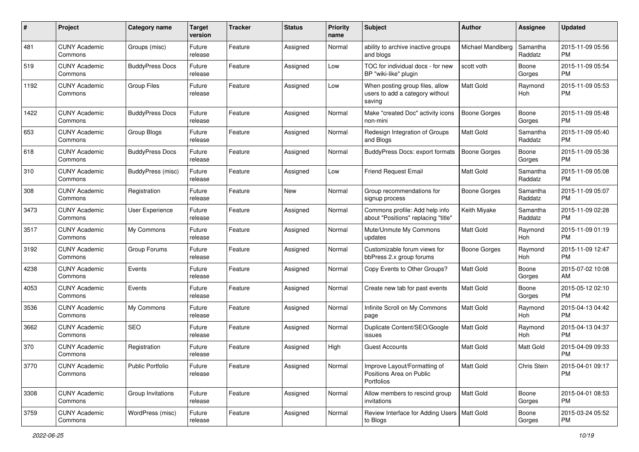| #    | Project                         | <b>Category name</b>   | <b>Target</b><br>version | <b>Tracker</b> | <b>Status</b> | <b>Priority</b><br>name | Subject                                                                      | Author              | <b>Assignee</b>     | <b>Updated</b>                |
|------|---------------------------------|------------------------|--------------------------|----------------|---------------|-------------------------|------------------------------------------------------------------------------|---------------------|---------------------|-------------------------------|
| 481  | <b>CUNY Academic</b><br>Commons | Groups (misc)          | Future<br>release        | Feature        | Assigned      | Normal                  | ability to archive inactive groups<br>and blogs                              | Michael Mandiberg   | Samantha<br>Raddatz | 2015-11-09 05:56<br>PM        |
| 519  | <b>CUNY Academic</b><br>Commons | <b>BuddyPress Docs</b> | Future<br>release        | Feature        | Assigned      | Low                     | TOC for individual docs - for new<br>BP "wiki-like" plugin                   | scott voth          | Boone<br>Gorges     | 2015-11-09 05:54<br><b>PM</b> |
| 1192 | <b>CUNY Academic</b><br>Commons | <b>Group Files</b>     | Future<br>release        | Feature        | Assigned      | Low                     | When posting group files, allow<br>users to add a category without<br>saving | <b>Matt Gold</b>    | Raymond<br>Hoh      | 2015-11-09 05:53<br><b>PM</b> |
| 1422 | <b>CUNY Academic</b><br>Commons | <b>BuddyPress Docs</b> | Future<br>release        | Feature        | Assigned      | Normal                  | Make "created Doc" activity icons<br>non-mini                                | <b>Boone Gorges</b> | Boone<br>Gorges     | 2015-11-09 05:48<br>PM        |
| 653  | <b>CUNY Academic</b><br>Commons | Group Blogs            | Future<br>release        | Feature        | Assigned      | Normal                  | Redesign Integration of Groups<br>and Blogs                                  | <b>Matt Gold</b>    | Samantha<br>Raddatz | 2015-11-09 05:40<br><b>PM</b> |
| 618  | <b>CUNY Academic</b><br>Commons | <b>BuddyPress Docs</b> | Future<br>release        | Feature        | Assigned      | Normal                  | BuddyPress Docs: export formats                                              | <b>Boone Gorges</b> | Boone<br>Gorges     | 2015-11-09 05:38<br>PM        |
| 310  | <b>CUNY Academic</b><br>Commons | BuddyPress (misc)      | Future<br>release        | Feature        | Assigned      | Low                     | <b>Friend Request Email</b>                                                  | Matt Gold           | Samantha<br>Raddatz | 2015-11-09 05:08<br><b>PM</b> |
| 308  | <b>CUNY Academic</b><br>Commons | Registration           | Future<br>release        | Feature        | New           | Normal                  | Group recommendations for<br>signup process                                  | <b>Boone Gorges</b> | Samantha<br>Raddatz | 2015-11-09 05:07<br><b>PM</b> |
| 3473 | <b>CUNY Academic</b><br>Commons | User Experience        | Future<br>release        | Feature        | Assigned      | Normal                  | Commons profile: Add help info<br>about "Positions" replacing "title"        | Keith Miyake        | Samantha<br>Raddatz | 2015-11-09 02:28<br>PM        |
| 3517 | <b>CUNY Academic</b><br>Commons | My Commons             | Future<br>release        | Feature        | Assigned      | Normal                  | Mute/Unmute My Commons<br>updates                                            | Matt Gold           | Raymond<br>Hoh      | 2015-11-09 01:19<br><b>PM</b> |
| 3192 | <b>CUNY Academic</b><br>Commons | Group Forums           | Future<br>release        | Feature        | Assigned      | Normal                  | Customizable forum views for<br>bbPress 2.x group forums                     | <b>Boone Gorges</b> | Raymond<br>Hoh      | 2015-11-09 12:47<br><b>PM</b> |
| 4238 | <b>CUNY Academic</b><br>Commons | Events                 | Future<br>release        | Feature        | Assigned      | Normal                  | Copy Events to Other Groups?                                                 | Matt Gold           | Boone<br>Gorges     | 2015-07-02 10:08<br>AM        |
| 4053 | <b>CUNY Academic</b><br>Commons | Events                 | Future<br>release        | Feature        | Assigned      | Normal                  | Create new tab for past events                                               | <b>Matt Gold</b>    | Boone<br>Gorges     | 2015-05-12 02:10<br><b>PM</b> |
| 3536 | <b>CUNY Academic</b><br>Commons | My Commons             | Future<br>release        | Feature        | Assigned      | Normal                  | Infinite Scroll on My Commons<br>page                                        | Matt Gold           | Raymond<br>Hoh      | 2015-04-13 04:42<br><b>PM</b> |
| 3662 | <b>CUNY Academic</b><br>Commons | <b>SEO</b>             | Future<br>release        | Feature        | Assigned      | Normal                  | Duplicate Content/SEO/Google<br>issues                                       | Matt Gold           | Raymond<br>Hoh      | 2015-04-13 04:37<br><b>PM</b> |
| 370  | <b>CUNY Academic</b><br>Commons | Registration           | Future<br>release        | Feature        | Assigned      | High                    | <b>Guest Accounts</b>                                                        | Matt Gold           | Matt Gold           | 2015-04-09 09:33<br><b>PM</b> |
| 3770 | <b>CUNY Academic</b><br>Commons | Public Portfolio       | Future<br>release        | Feature        | Assigned      | Normal                  | Improve Layout/Formatting of<br>Positions Area on Public<br>Portfolios       | Matt Gold           | Chris Stein         | 2015-04-01 09:17<br><b>PM</b> |
| 3308 | <b>CUNY Academic</b><br>Commons | Group Invitations      | Future<br>release        | Feature        | Assigned      | Normal                  | Allow members to rescind group<br>invitations                                | Matt Gold           | Boone<br>Gorges     | 2015-04-01 08:53<br>PM        |
| 3759 | <b>CUNY Academic</b><br>Commons | WordPress (misc)       | Future<br>release        | Feature        | Assigned      | Normal                  | Review Interface for Adding Users   Matt Gold<br>to Blogs                    |                     | Boone<br>Gorges     | 2015-03-24 05:52<br>PM        |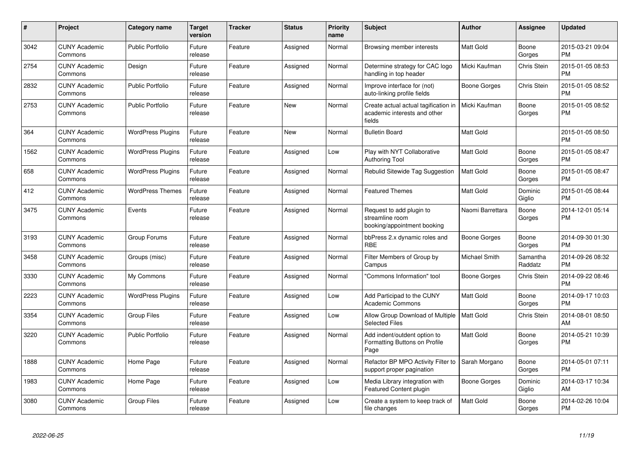| #    | Project                         | <b>Category name</b>     | <b>Target</b><br>version | <b>Tracker</b> | <b>Status</b> | <b>Priority</b><br>name | <b>Subject</b>                                                                 | <b>Author</b>    | Assignee            | <b>Updated</b>                |
|------|---------------------------------|--------------------------|--------------------------|----------------|---------------|-------------------------|--------------------------------------------------------------------------------|------------------|---------------------|-------------------------------|
| 3042 | <b>CUNY Academic</b><br>Commons | <b>Public Portfolio</b>  | Future<br>release        | Feature        | Assigned      | Normal                  | Browsing member interests                                                      | <b>Matt Gold</b> | Boone<br>Gorges     | 2015-03-21 09:04<br><b>PM</b> |
| 2754 | <b>CUNY Academic</b><br>Commons | Design                   | Future<br>release        | Feature        | Assigned      | Normal                  | Determine strategy for CAC logo<br>handling in top header                      | Micki Kaufman    | Chris Stein         | 2015-01-05 08:53<br><b>PM</b> |
| 2832 | <b>CUNY Academic</b><br>Commons | <b>Public Portfolio</b>  | Future<br>release        | Feature        | Assigned      | Normal                  | Improve interface for (not)<br>auto-linking profile fields                     | Boone Gorges     | Chris Stein         | 2015-01-05 08:52<br><b>PM</b> |
| 2753 | <b>CUNY Academic</b><br>Commons | <b>Public Portfolio</b>  | Future<br>release        | Feature        | <b>New</b>    | Normal                  | Create actual actual tagification in<br>academic interests and other<br>fields | Micki Kaufman    | Boone<br>Gorges     | 2015-01-05 08:52<br><b>PM</b> |
| 364  | <b>CUNY Academic</b><br>Commons | <b>WordPress Plugins</b> | Future<br>release        | Feature        | New           | Normal                  | <b>Bulletin Board</b>                                                          | Matt Gold        |                     | 2015-01-05 08:50<br><b>PM</b> |
| 1562 | <b>CUNY Academic</b><br>Commons | <b>WordPress Plugins</b> | Future<br>release        | Feature        | Assigned      | Low                     | Play with NYT Collaborative<br><b>Authoring Tool</b>                           | <b>Matt Gold</b> | Boone<br>Gorges     | 2015-01-05 08:47<br><b>PM</b> |
| 658  | <b>CUNY Academic</b><br>Commons | <b>WordPress Plugins</b> | Future<br>release        | Feature        | Assigned      | Normal                  | Rebulid Sitewide Tag Suggestion                                                | <b>Matt Gold</b> | Boone<br>Gorges     | 2015-01-05 08:47<br><b>PM</b> |
| 412  | <b>CUNY Academic</b><br>Commons | <b>WordPress Themes</b>  | Future<br>release        | Feature        | Assigned      | Normal                  | <b>Featured Themes</b>                                                         | <b>Matt Gold</b> | Dominic<br>Giglio   | 2015-01-05 08:44<br><b>PM</b> |
| 3475 | <b>CUNY Academic</b><br>Commons | Events                   | Future<br>release        | Feature        | Assigned      | Normal                  | Request to add plugin to<br>streamline room<br>booking/appointment booking     | Naomi Barrettara | Boone<br>Gorges     | 2014-12-01 05:14<br><b>PM</b> |
| 3193 | <b>CUNY Academic</b><br>Commons | Group Forums             | Future<br>release        | Feature        | Assigned      | Normal                  | bbPress 2.x dynamic roles and<br><b>RBE</b>                                    | Boone Gorges     | Boone<br>Gorges     | 2014-09-30 01:30<br><b>PM</b> |
| 3458 | <b>CUNY Academic</b><br>Commons | Groups (misc)            | Future<br>release        | Feature        | Assigned      | Normal                  | Filter Members of Group by<br>Campus                                           | Michael Smith    | Samantha<br>Raddatz | 2014-09-26 08:32<br><b>PM</b> |
| 3330 | <b>CUNY Academic</b><br>Commons | My Commons               | Future<br>release        | Feature        | Assigned      | Normal                  | 'Commons Information" tool                                                     | Boone Gorges     | Chris Stein         | 2014-09-22 08:46<br><b>PM</b> |
| 2223 | <b>CUNY Academic</b><br>Commons | <b>WordPress Plugins</b> | Future<br>release        | Feature        | Assigned      | Low                     | Add Participad to the CUNY<br><b>Academic Commons</b>                          | Matt Gold        | Boone<br>Gorges     | 2014-09-17 10:03<br><b>PM</b> |
| 3354 | <b>CUNY Academic</b><br>Commons | <b>Group Files</b>       | Future<br>release        | Feature        | Assigned      | Low                     | Allow Group Download of Multiple<br><b>Selected Files</b>                      | <b>Matt Gold</b> | Chris Stein         | 2014-08-01 08:50<br>AM        |
| 3220 | <b>CUNY Academic</b><br>Commons | <b>Public Portfolio</b>  | Future<br>release        | Feature        | Assigned      | Normal                  | Add indent/outdent option to<br>Formatting Buttons on Profile<br>Page          | <b>Matt Gold</b> | Boone<br>Gorges     | 2014-05-21 10:39<br><b>PM</b> |
| 1888 | <b>CUNY Academic</b><br>Commons | Home Page                | Future<br>release        | Feature        | Assigned      | Normal                  | Refactor BP MPO Activity Filter to<br>support proper pagination                | Sarah Morgano    | Boone<br>Gorges     | 2014-05-01 07:11<br><b>PM</b> |
| 1983 | <b>CUNY Academic</b><br>Commons | Home Page                | Future<br>release        | Feature        | Assigned      | Low                     | Media Library integration with<br>Featured Content plugin                      | Boone Gorges     | Dominic<br>Giglio   | 2014-03-17 10:34<br>AM        |
| 3080 | <b>CUNY Academic</b><br>Commons | Group Files              | Future<br>release        | Feature        | Assigned      | Low                     | Create a system to keep track of<br>file changes                               | Matt Gold        | Boone<br>Gorges     | 2014-02-26 10:04<br><b>PM</b> |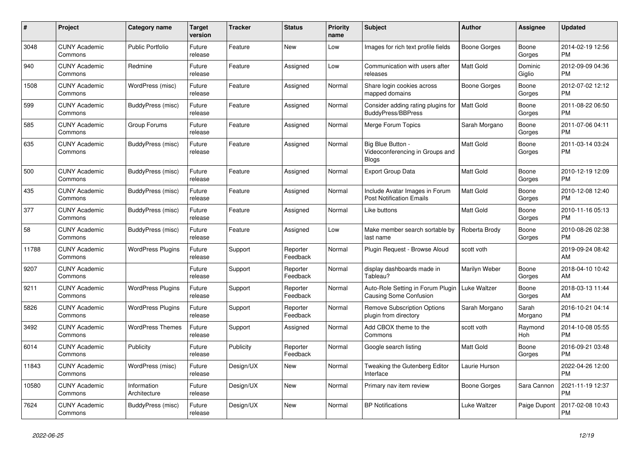| $\pmb{\#}$ | Project                         | Category name               | <b>Target</b><br>version | <b>Tracker</b> | <b>Status</b>        | <b>Priority</b><br>name | <b>Subject</b>                                                       | <b>Author</b>       | <b>Assignee</b>   | <b>Updated</b>                |
|------------|---------------------------------|-----------------------------|--------------------------|----------------|----------------------|-------------------------|----------------------------------------------------------------------|---------------------|-------------------|-------------------------------|
| 3048       | <b>CUNY Academic</b><br>Commons | <b>Public Portfolio</b>     | Future<br>release        | Feature        | <b>New</b>           | Low                     | Images for rich text profile fields                                  | <b>Boone Gorges</b> | Boone<br>Gorges   | 2014-02-19 12:56<br><b>PM</b> |
| 940        | <b>CUNY Academic</b><br>Commons | Redmine                     | Future<br>release        | Feature        | Assigned             | Low                     | Communication with users after<br>releases                           | <b>Matt Gold</b>    | Dominic<br>Giglio | 2012-09-09 04:36<br><b>PM</b> |
| 1508       | <b>CUNY Academic</b><br>Commons | WordPress (misc)            | Future<br>release        | Feature        | Assigned             | Normal                  | Share login cookies across<br>mapped domains                         | Boone Gorges        | Boone<br>Gorges   | 2012-07-02 12:12<br><b>PM</b> |
| 599        | <b>CUNY Academic</b><br>Commons | BuddyPress (misc)           | Future<br>release        | Feature        | Assigned             | Normal                  | Consider adding rating plugins for<br><b>BuddyPress/BBPress</b>      | <b>Matt Gold</b>    | Boone<br>Gorges   | 2011-08-22 06:50<br><b>PM</b> |
| 585        | <b>CUNY Academic</b><br>Commons | Group Forums                | Future<br>release        | Feature        | Assigned             | Normal                  | Merge Forum Topics                                                   | Sarah Morgano       | Boone<br>Gorges   | 2011-07-06 04:11<br><b>PM</b> |
| 635        | <b>CUNY Academic</b><br>Commons | BuddyPress (misc)           | Future<br>release        | Feature        | Assigned             | Normal                  | Big Blue Button -<br>Videoconferencing in Groups and<br><b>Blogs</b> | Matt Gold           | Boone<br>Gorges   | 2011-03-14 03:24<br><b>PM</b> |
| 500        | <b>CUNY Academic</b><br>Commons | BuddyPress (misc)           | Future<br>release        | Feature        | Assigned             | Normal                  | <b>Export Group Data</b>                                             | <b>Matt Gold</b>    | Boone<br>Gorges   | 2010-12-19 12:09<br><b>PM</b> |
| 435        | <b>CUNY Academic</b><br>Commons | BuddyPress (misc)           | Future<br>release        | Feature        | Assigned             | Normal                  | Include Avatar Images in Forum<br><b>Post Notification Emails</b>    | Matt Gold           | Boone<br>Gorges   | 2010-12-08 12:40<br><b>PM</b> |
| 377        | <b>CUNY Academic</b><br>Commons | BuddyPress (misc)           | Future<br>release        | Feature        | Assigned             | Normal                  | Like buttons                                                         | Matt Gold           | Boone<br>Gorges   | 2010-11-16 05:13<br><b>PM</b> |
| 58         | <b>CUNY Academic</b><br>Commons | BuddyPress (misc)           | Future<br>release        | Feature        | Assigned             | Low                     | Make member search sortable by<br>last name                          | Roberta Brody       | Boone<br>Gorges   | 2010-08-26 02:38<br><b>PM</b> |
| 11788      | <b>CUNY Academic</b><br>Commons | <b>WordPress Plugins</b>    | Future<br>release        | Support        | Reporter<br>Feedback | Normal                  | Plugin Request - Browse Aloud                                        | scott voth          |                   | 2019-09-24 08:42<br>AM        |
| 9207       | <b>CUNY Academic</b><br>Commons |                             | Future<br>release        | Support        | Reporter<br>Feedback | Normal                  | display dashboards made in<br>Tableau?                               | Marilyn Weber       | Boone<br>Gorges   | 2018-04-10 10:42<br>AM        |
| 9211       | <b>CUNY Academic</b><br>Commons | <b>WordPress Plugins</b>    | Future<br>release        | Support        | Reporter<br>Feedback | Normal                  | Auto-Role Setting in Forum Plugin<br><b>Causing Some Confusion</b>   | Luke Waltzer        | Boone<br>Gorges   | 2018-03-13 11:44<br>AM        |
| 5826       | <b>CUNY Academic</b><br>Commons | <b>WordPress Plugins</b>    | Future<br>release        | Support        | Reporter<br>Feedback | Normal                  | <b>Remove Subscription Options</b><br>plugin from directory          | Sarah Morgano       | Sarah<br>Morgano  | 2016-10-21 04:14<br><b>PM</b> |
| 3492       | <b>CUNY Academic</b><br>Commons | <b>WordPress Themes</b>     | Future<br>release        | Support        | Assigned             | Normal                  | Add CBOX theme to the<br>Commons                                     | scott voth          | Raymond<br>Hoh    | 2014-10-08 05:55<br><b>PM</b> |
| 6014       | <b>CUNY Academic</b><br>Commons | Publicity                   | Future<br>release        | Publicity      | Reporter<br>Feedback | Normal                  | Google search listing                                                | <b>Matt Gold</b>    | Boone<br>Gorges   | 2016-09-21 03:48<br><b>PM</b> |
| 11843      | <b>CUNY Academic</b><br>Commons | WordPress (misc)            | Future<br>release        | Design/UX      | <b>New</b>           | Normal                  | Tweaking the Gutenberg Editor<br>Interface                           | Laurie Hurson       |                   | 2022-04-26 12:00<br><b>PM</b> |
| 10580      | <b>CUNY Academic</b><br>Commons | Information<br>Architecture | Future<br>release        | Design/UX      | <b>New</b>           | Normal                  | Primary nav item review                                              | Boone Gorges        | Sara Cannon       | 2021-11-19 12:37<br><b>PM</b> |
| 7624       | <b>CUNY Academic</b><br>Commons | BuddyPress (misc)           | Future<br>release        | Design/UX      | <b>New</b>           | Normal                  | <b>BP Notifications</b>                                              | Luke Waltzer        | Paige Dupont      | 2017-02-08 10:43<br><b>PM</b> |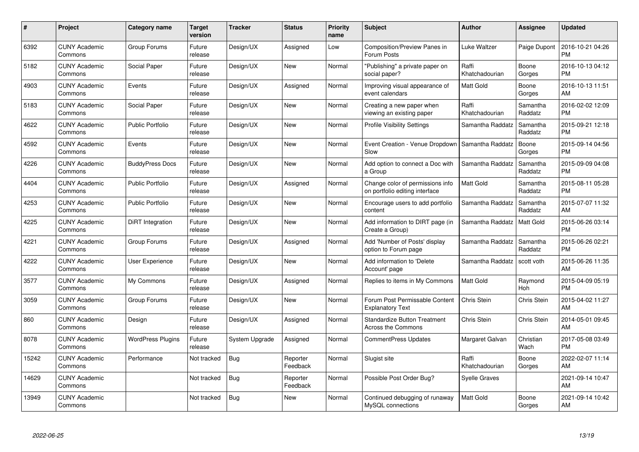| $\#$  | Project                         | Category name            | <b>Target</b><br>version | <b>Tracker</b> | <b>Status</b>        | <b>Priority</b><br>name | <b>Subject</b>                                                     | Author                  | Assignee            | <b>Updated</b>                |
|-------|---------------------------------|--------------------------|--------------------------|----------------|----------------------|-------------------------|--------------------------------------------------------------------|-------------------------|---------------------|-------------------------------|
| 6392  | <b>CUNY Academic</b><br>Commons | Group Forums             | Future<br>release        | Design/UX      | Assigned             | Low                     | Composition/Preview Panes in<br>Forum Posts                        | Luke Waltzer            | Paige Dupont        | 2016-10-21 04:26<br><b>PM</b> |
| 5182  | <b>CUNY Academic</b><br>Commons | Social Paper             | Future<br>release        | Design/UX      | <b>New</b>           | Normal                  | 'Publishing" a private paper on<br>social paper?                   | Raffi<br>Khatchadourian | Boone<br>Gorges     | 2016-10-13 04:12<br><b>PM</b> |
| 4903  | <b>CUNY Academic</b><br>Commons | Events                   | Future<br>release        | Design/UX      | Assigned             | Normal                  | Improving visual appearance of<br>event calendars                  | Matt Gold               | Boone<br>Gorges     | 2016-10-13 11:51<br>AM        |
| 5183  | <b>CUNY Academic</b><br>Commons | Social Paper             | Future<br>release        | Design/UX      | <b>New</b>           | Normal                  | Creating a new paper when<br>viewing an existing paper             | Raffi<br>Khatchadourian | Samantha<br>Raddatz | 2016-02-02 12:09<br><b>PM</b> |
| 4622  | <b>CUNY Academic</b><br>Commons | <b>Public Portfolio</b>  | Future<br>release        | Design/UX      | <b>New</b>           | Normal                  | <b>Profile Visibility Settings</b>                                 | Samantha Raddatz        | Samantha<br>Raddatz | 2015-09-21 12:18<br><b>PM</b> |
| 4592  | <b>CUNY Academic</b><br>Commons | Events                   | Future<br>release        | Design/UX      | <b>New</b>           | Normal                  | Event Creation - Venue Dropdown<br>Slow                            | Samantha Raddatz        | Boone<br>Gorges     | 2015-09-14 04:56<br><b>PM</b> |
| 4226  | <b>CUNY Academic</b><br>Commons | <b>BuddyPress Docs</b>   | Future<br>release        | Design/UX      | <b>New</b>           | Normal                  | Add option to connect a Doc with<br>a Group                        | Samantha Raddatz        | Samantha<br>Raddatz | 2015-09-09 04:08<br><b>PM</b> |
| 4404  | <b>CUNY Academic</b><br>Commons | <b>Public Portfolio</b>  | Future<br>release        | Design/UX      | Assigned             | Normal                  | Change color of permissions info<br>on portfolio editing interface | <b>Matt Gold</b>        | Samantha<br>Raddatz | 2015-08-11 05:28<br><b>PM</b> |
| 4253  | <b>CUNY Academic</b><br>Commons | <b>Public Portfolio</b>  | Future<br>release        | Design/UX      | <b>New</b>           | Normal                  | Encourage users to add portfolio<br>content                        | Samantha Raddatz        | Samantha<br>Raddatz | 2015-07-07 11:32<br>AM        |
| 4225  | <b>CUNY Academic</b><br>Commons | <b>DiRT</b> Integration  | Future<br>release        | Design/UX      | <b>New</b>           | Normal                  | Add information to DIRT page (in<br>Create a Group)                | Samantha Raddatz        | <b>Matt Gold</b>    | 2015-06-26 03:14<br><b>PM</b> |
| 4221  | <b>CUNY Academic</b><br>Commons | Group Forums             | Future<br>release        | Design/UX      | Assigned             | Normal                  | Add 'Number of Posts' display<br>option to Forum page              | Samantha Raddatz        | Samantha<br>Raddatz | 2015-06-26 02:21<br><b>PM</b> |
| 4222  | <b>CUNY Academic</b><br>Commons | <b>User Experience</b>   | Future<br>release        | Design/UX      | <b>New</b>           | Normal                  | Add information to 'Delete<br>Account' page                        | Samantha Raddatz        | scott voth          | 2015-06-26 11:35<br>AM        |
| 3577  | <b>CUNY Academic</b><br>Commons | My Commons               | Future<br>release        | Design/UX      | Assigned             | Normal                  | Replies to items in My Commons                                     | <b>Matt Gold</b>        | Raymond<br>Hoh      | 2015-04-09 05:19<br><b>PM</b> |
| 3059  | <b>CUNY Academic</b><br>Commons | Group Forums             | Future<br>release        | Design/UX      | New                  | Normal                  | Forum Post Permissable Content<br><b>Explanatory Text</b>          | <b>Chris Stein</b>      | Chris Stein         | 2015-04-02 11:27<br>AM        |
| 860   | <b>CUNY Academic</b><br>Commons | Design                   | Future<br>release        | Design/UX      | Assigned             | Normal                  | <b>Standardize Button Treatment</b><br>Across the Commons          | Chris Stein             | Chris Stein         | 2014-05-01 09:45<br>AM        |
| 8078  | <b>CUNY Academic</b><br>Commons | <b>WordPress Plugins</b> | Future<br>release        | System Upgrade | Assigned             | Normal                  | CommentPress Updates                                               | Margaret Galvan         | Christian<br>Wach   | 2017-05-08 03:49<br><b>PM</b> |
| 15242 | <b>CUNY Academic</b><br>Commons | Performance              | Not tracked              | Bug            | Reporter<br>Feedback | Normal                  | Slugist site                                                       | Raffi<br>Khatchadourian | Boone<br>Gorges     | 2022-02-07 11:14<br>AM        |
| 14629 | <b>CUNY Academic</b><br>Commons |                          | Not tracked              | Bug            | Reporter<br>Feedback | Normal                  | Possible Post Order Bug?                                           | <b>Syelle Graves</b>    |                     | 2021-09-14 10:47<br>AM        |
| 13949 | <b>CUNY Academic</b><br>Commons |                          | Not tracked              | <b>Bug</b>     | <b>New</b>           | Normal                  | Continued debugging of runaway<br>MySQL connections                | <b>Matt Gold</b>        | Boone<br>Gorges     | 2021-09-14 10:42<br>AM        |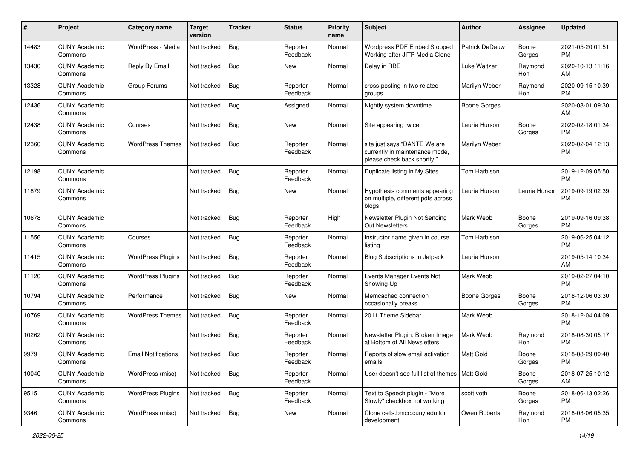| #     | Project                         | <b>Category name</b>       | <b>Target</b><br>version | <b>Tracker</b> | <b>Status</b>        | <b>Priority</b><br>name | <b>Subject</b>                                                                                | <b>Author</b>         | <b>Assignee</b> | <b>Updated</b>                |
|-------|---------------------------------|----------------------------|--------------------------|----------------|----------------------|-------------------------|-----------------------------------------------------------------------------------------------|-----------------------|-----------------|-------------------------------|
| 14483 | <b>CUNY Academic</b><br>Commons | WordPress - Media          | Not tracked              | <b>Bug</b>     | Reporter<br>Feedback | Normal                  | Wordpress PDF Embed Stopped<br>Working after JITP Media Clone                                 | <b>Patrick DeDauw</b> | Boone<br>Gorges | 2021-05-20 01:51<br><b>PM</b> |
| 13430 | <b>CUNY Academic</b><br>Commons | Reply By Email             | Not tracked              | Bug            | New                  | Normal                  | Delay in RBE                                                                                  | Luke Waltzer          | Raymond<br>Hoh  | 2020-10-13 11:16<br>AM        |
| 13328 | <b>CUNY Academic</b><br>Commons | Group Forums               | Not tracked              | <b>Bug</b>     | Reporter<br>Feedback | Normal                  | cross-posting in two related<br>groups                                                        | Marilyn Weber         | Raymond<br>Hoh  | 2020-09-15 10:39<br><b>PM</b> |
| 12436 | <b>CUNY Academic</b><br>Commons |                            | Not tracked              | Bug            | Assigned             | Normal                  | Nightly system downtime                                                                       | <b>Boone Gorges</b>   |                 | 2020-08-01 09:30<br>AM        |
| 12438 | <b>CUNY Academic</b><br>Commons | Courses                    | Not tracked              | Bug            | New                  | Normal                  | Site appearing twice                                                                          | Laurie Hurson         | Boone<br>Gorges | 2020-02-18 01:34<br><b>PM</b> |
| 12360 | <b>CUNY Academic</b><br>Commons | <b>WordPress Themes</b>    | Not tracked              | Bug            | Reporter<br>Feedback | Normal                  | site just says "DANTE We are<br>currently in maintenance mode,<br>please check back shortly." | Marilyn Weber         |                 | 2020-02-04 12:13<br><b>PM</b> |
| 12198 | <b>CUNY Academic</b><br>Commons |                            | Not tracked              | Bug            | Reporter<br>Feedback | Normal                  | Duplicate listing in My Sites                                                                 | Tom Harbison          |                 | 2019-12-09 05:50<br><b>PM</b> |
| 11879 | <b>CUNY Academic</b><br>Commons |                            | Not tracked              | <b>Bug</b>     | New                  | Normal                  | Hypothesis comments appearing<br>on multiple, different pdfs across<br>blogs                  | Laurie Hurson         | Laurie Hurson   | 2019-09-19 02:39<br><b>PM</b> |
| 10678 | <b>CUNY Academic</b><br>Commons |                            | Not tracked              | <b>Bug</b>     | Reporter<br>Feedback | High                    | Newsletter Plugin Not Sending<br>Out Newsletters                                              | Mark Webb             | Boone<br>Gorges | 2019-09-16 09:38<br><b>PM</b> |
| 11556 | <b>CUNY Academic</b><br>Commons | Courses                    | Not tracked              | Bug            | Reporter<br>Feedback | Normal                  | Instructor name given in course<br>listing                                                    | Tom Harbison          |                 | 2019-06-25 04:12<br><b>PM</b> |
| 11415 | <b>CUNY Academic</b><br>Commons | <b>WordPress Plugins</b>   | Not tracked              | <b>Bug</b>     | Reporter<br>Feedback | Normal                  | Blog Subscriptions in Jetpack                                                                 | Laurie Hurson         |                 | 2019-05-14 10:34<br>AM        |
| 11120 | <b>CUNY Academic</b><br>Commons | <b>WordPress Plugins</b>   | Not tracked              | <b>Bug</b>     | Reporter<br>Feedback | Normal                  | Events Manager Events Not<br>Showing Up                                                       | Mark Webb             |                 | 2019-02-27 04:10<br><b>PM</b> |
| 10794 | <b>CUNY Academic</b><br>Commons | Performance                | Not tracked              | Bug            | New                  | Normal                  | Memcached connection<br>occasionally breaks                                                   | <b>Boone Gorges</b>   | Boone<br>Gorges | 2018-12-06 03:30<br><b>PM</b> |
| 10769 | <b>CUNY Academic</b><br>Commons | <b>WordPress Themes</b>    | Not tracked              | Bug            | Reporter<br>Feedback | Normal                  | 2011 Theme Sidebar                                                                            | Mark Webb             |                 | 2018-12-04 04:09<br><b>PM</b> |
| 10262 | <b>CUNY Academic</b><br>Commons |                            | Not tracked              | Bug            | Reporter<br>Feedback | Normal                  | Newsletter Plugin: Broken Image<br>at Bottom of All Newsletters                               | Mark Webb             | Raymond<br>Hoh  | 2018-08-30 05:17<br><b>PM</b> |
| 9979  | <b>CUNY Academic</b><br>Commons | <b>Email Notifications</b> | Not tracked              | <b>Bug</b>     | Reporter<br>Feedback | Normal                  | Reports of slow email activation<br>emails                                                    | Matt Gold             | Boone<br>Gorges | 2018-08-29 09:40<br>PM        |
| 10040 | <b>CUNY Academic</b><br>Commons | WordPress (misc)           | Not tracked              | <b>Bug</b>     | Reporter<br>Feedback | Normal                  | User doesn't see full list of themes   Matt Gold                                              |                       | Boone<br>Gorges | 2018-07-25 10:12<br>AM        |
| 9515  | <b>CUNY Academic</b><br>Commons | <b>WordPress Plugins</b>   | Not tracked              | Bug            | Reporter<br>Feedback | Normal                  | Text to Speech plugin - "More<br>Slowly" checkbox not working                                 | scott voth            | Boone<br>Gorges | 2018-06-13 02:26<br><b>PM</b> |
| 9346  | <b>CUNY Academic</b><br>Commons | WordPress (misc)           | Not tracked              | <b>Bug</b>     | New                  | Normal                  | Clone cetls.bmcc.cuny.edu for<br>development                                                  | Owen Roberts          | Raymond<br>Hoh  | 2018-03-06 05:35<br><b>PM</b> |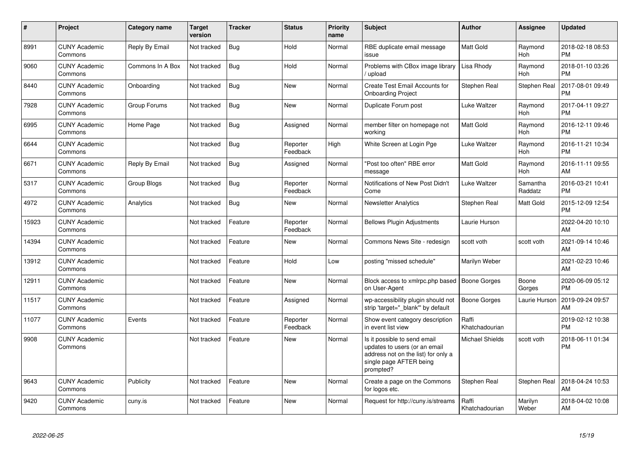| $\#$  | Project                         | <b>Category name</b> | Target<br>version | <b>Tracker</b> | <b>Status</b>        | <b>Priority</b><br>name | <b>Subject</b>                                                                                                                               | <b>Author</b>           | <b>Assignee</b>       | <b>Updated</b>                |
|-------|---------------------------------|----------------------|-------------------|----------------|----------------------|-------------------------|----------------------------------------------------------------------------------------------------------------------------------------------|-------------------------|-----------------------|-------------------------------|
| 8991  | <b>CUNY Academic</b><br>Commons | Reply By Email       | Not tracked       | Bug            | Hold                 | Normal                  | RBE duplicate email message<br>issue                                                                                                         | Matt Gold               | Raymond<br>Hoh        | 2018-02-18 08:53<br><b>PM</b> |
| 9060  | <b>CUNY Academic</b><br>Commons | Commons In A Box     | Not tracked       | Bug            | Hold                 | Normal                  | Problems with CBox image library<br>upload                                                                                                   | Lisa Rhody              | Raymond<br>Hoh        | 2018-01-10 03:26<br><b>PM</b> |
| 8440  | <b>CUNY Academic</b><br>Commons | Onboarding           | Not tracked       | Bug            | <b>New</b>           | Normal                  | Create Test Email Accounts for<br><b>Onboarding Project</b>                                                                                  | Stephen Real            | Stephen Real          | 2017-08-01 09:49<br><b>PM</b> |
| 7928  | <b>CUNY Academic</b><br>Commons | Group Forums         | Not tracked       | Bug            | New                  | Normal                  | Duplicate Forum post                                                                                                                         | Luke Waltzer            | Raymond<br>Hoh        | 2017-04-11 09:27<br><b>PM</b> |
| 6995  | <b>CUNY Academic</b><br>Commons | Home Page            | Not tracked       | Bug            | Assigned             | Normal                  | member filter on homepage not<br>workina                                                                                                     | Matt Gold               | Raymond<br><b>Hoh</b> | 2016-12-11 09:46<br><b>PM</b> |
| 6644  | <b>CUNY Academic</b><br>Commons |                      | Not tracked       | Bug            | Reporter<br>Feedback | High                    | White Screen at Login Pge                                                                                                                    | Luke Waltzer            | Raymond<br>Hoh        | 2016-11-21 10:34<br><b>PM</b> |
| 6671  | <b>CUNY Academic</b><br>Commons | Reply By Email       | Not tracked       | Bug            | Assigned             | Normal                  | "Post too often" RBE error<br>message                                                                                                        | Matt Gold               | Raymond<br>Hoh        | 2016-11-11 09:55<br>AM        |
| 5317  | <b>CUNY Academic</b><br>Commons | Group Blogs          | Not tracked       | Bug            | Reporter<br>Feedback | Normal                  | Notifications of New Post Didn't<br>Come                                                                                                     | Luke Waltzer            | Samantha<br>Raddatz   | 2016-03-21 10:41<br><b>PM</b> |
| 4972  | <b>CUNY Academic</b><br>Commons | Analytics            | Not tracked       | Bug            | <b>New</b>           | Normal                  | <b>Newsletter Analytics</b>                                                                                                                  | Stephen Real            | Matt Gold             | 2015-12-09 12:54<br><b>PM</b> |
| 15923 | <b>CUNY Academic</b><br>Commons |                      | Not tracked       | Feature        | Reporter<br>Feedback | Normal                  | <b>Bellows Plugin Adjustments</b>                                                                                                            | Laurie Hurson           |                       | 2022-04-20 10:10<br>AM        |
| 14394 | <b>CUNY Academic</b><br>Commons |                      | Not tracked       | Feature        | New                  | Normal                  | Commons News Site - redesign                                                                                                                 | scott voth              | scott voth            | 2021-09-14 10:46<br>AM        |
| 13912 | <b>CUNY Academic</b><br>Commons |                      | Not tracked       | Feature        | Hold                 | Low                     | posting "missed schedule"                                                                                                                    | Marilyn Weber           |                       | 2021-02-23 10:46<br>AM        |
| 12911 | <b>CUNY Academic</b><br>Commons |                      | Not tracked       | Feature        | <b>New</b>           | Normal                  | Block access to xmlrpc.php based<br>on User-Agent                                                                                            | <b>Boone Gorges</b>     | Boone<br>Gorges       | 2020-06-09 05:12<br><b>PM</b> |
| 11517 | <b>CUNY Academic</b><br>Commons |                      | Not tracked       | Feature        | Assigned             | Normal                  | wp-accessibility plugin should not<br>strip 'target=" blank" by default                                                                      | Boone Gorges            | Laurie Hurson         | 2019-09-24 09:57<br>AM        |
| 11077 | <b>CUNY Academic</b><br>Commons | Events               | Not tracked       | Feature        | Reporter<br>Feedback | Normal                  | Show event category description<br>in event list view                                                                                        | Raffi<br>Khatchadourian |                       | 2019-02-12 10:38<br><b>PM</b> |
| 9908  | <b>CUNY Academic</b><br>Commons |                      | Not tracked       | Feature        | <b>New</b>           | Normal                  | Is it possible to send email<br>updates to users (or an email<br>address not on the list) for only a<br>single page AFTER being<br>prompted? | <b>Michael Shields</b>  | scott voth            | 2018-06-11 01:34<br><b>PM</b> |
| 9643  | <b>CUNY Academic</b><br>Commons | Publicity            | Not tracked       | Feature        | <b>New</b>           | Normal                  | Create a page on the Commons<br>for logos etc.                                                                                               | Stephen Real            | Stephen Real          | 2018-04-24 10:53<br>AM        |
| 9420  | <b>CUNY Academic</b><br>Commons | cuny.is              | Not tracked       | Feature        | <b>New</b>           | Normal                  | Request for http://cuny.is/streams                                                                                                           | Raffi<br>Khatchadourian | Marilyn<br>Weber      | 2018-04-02 10:08<br>AM        |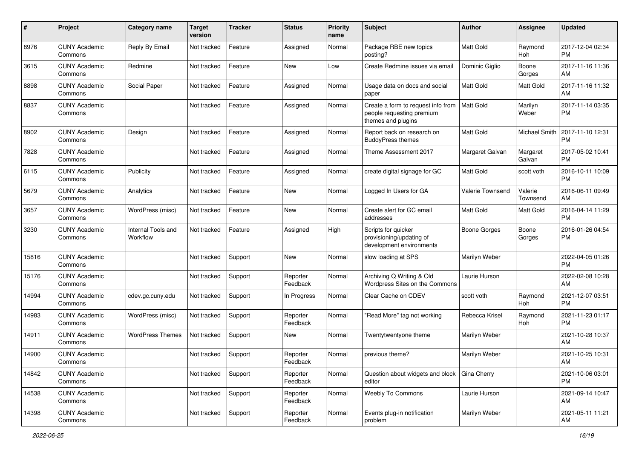| #     | Project                         | <b>Category name</b>           | <b>Target</b><br>version | <b>Tracker</b> | <b>Status</b>        | <b>Priority</b><br>name | <b>Subject</b>                                                                        | Author              | Assignee            | <b>Updated</b>                |
|-------|---------------------------------|--------------------------------|--------------------------|----------------|----------------------|-------------------------|---------------------------------------------------------------------------------------|---------------------|---------------------|-------------------------------|
| 8976  | <b>CUNY Academic</b><br>Commons | Reply By Email                 | Not tracked              | Feature        | Assigned             | Normal                  | Package RBE new topics<br>posting?                                                    | <b>Matt Gold</b>    | Raymond<br>Hoh      | 2017-12-04 02:34<br><b>PM</b> |
| 3615  | <b>CUNY Academic</b><br>Commons | Redmine                        | Not tracked              | Feature        | <b>New</b>           | Low                     | Create Redmine issues via emai                                                        | Dominic Giglio      | Boone<br>Gorges     | 2017-11-16 11:36<br>AM        |
| 8898  | <b>CUNY Academic</b><br>Commons | Social Paper                   | Not tracked              | Feature        | Assigned             | Normal                  | Usage data on docs and social<br>paper                                                | Matt Gold           | Matt Gold           | 2017-11-16 11:32<br>AM        |
| 8837  | <b>CUNY Academic</b><br>Commons |                                | Not tracked              | Feature        | Assigned             | Normal                  | Create a form to request info from<br>people requesting premium<br>themes and plugins | <b>Matt Gold</b>    | Marilyn<br>Weber    | 2017-11-14 03:35<br><b>PM</b> |
| 8902  | <b>CUNY Academic</b><br>Commons | Design                         | Not tracked              | Feature        | Assigned             | Normal                  | Report back on research on<br><b>BuddyPress themes</b>                                | <b>Matt Gold</b>    | Michael Smith       | 2017-11-10 12:31<br><b>PM</b> |
| 7828  | <b>CUNY Academic</b><br>Commons |                                | Not tracked              | Feature        | Assigned             | Normal                  | Theme Assessment 2017                                                                 | Margaret Galvan     | Margaret<br>Galvan  | 2017-05-02 10:41<br><b>PM</b> |
| 6115  | <b>CUNY Academic</b><br>Commons | Publicity                      | Not tracked              | Feature        | Assigned             | Normal                  | create digital signage for GC                                                         | <b>Matt Gold</b>    | scott voth          | 2016-10-11 10:09<br><b>PM</b> |
| 5679  | <b>CUNY Academic</b><br>Commons | Analytics                      | Not tracked              | Feature        | New                  | Normal                  | Logged In Users for GA                                                                | Valerie Townsend    | Valerie<br>Townsend | 2016-06-11 09:49<br>AM        |
| 3657  | <b>CUNY Academic</b><br>Commons | WordPress (misc)               | Not tracked              | Feature        | <b>New</b>           | Normal                  | Create alert for GC email<br>addresses                                                | <b>Matt Gold</b>    | Matt Gold           | 2016-04-14 11:29<br><b>PM</b> |
| 3230  | <b>CUNY Academic</b><br>Commons | Internal Tools and<br>Workflow | Not tracked              | Feature        | Assigned             | High                    | Scripts for quicker<br>provisioning/updating of<br>development environments           | <b>Boone Gorges</b> | Boone<br>Gorges     | 2016-01-26 04:54<br><b>PM</b> |
| 15816 | <b>CUNY Academic</b><br>Commons |                                | Not tracked              | Support        | <b>New</b>           | Normal                  | slow loading at SPS                                                                   | Marilyn Weber       |                     | 2022-04-05 01:26<br><b>PM</b> |
| 15176 | <b>CUNY Academic</b><br>Commons |                                | Not tracked              | Support        | Reporter<br>Feedback | Normal                  | Archiving Q Writing & Old<br>Wordpress Sites on the Commons                           | Laurie Hurson       |                     | 2022-02-08 10:28<br>AM        |
| 14994 | <b>CUNY Academic</b><br>Commons | cdev.gc.cuny.edu               | Not tracked              | Support        | In Progress          | Normal                  | Clear Cache on CDEV                                                                   | scott voth          | Raymond<br>Hoh      | 2021-12-07 03:51<br><b>PM</b> |
| 14983 | <b>CUNY Academic</b><br>Commons | WordPress (misc)               | Not tracked              | Support        | Reporter<br>Feedback | Normal                  | "Read More" tag not working                                                           | Rebecca Krisel      | Raymond<br>Hoh      | 2021-11-23 01:17<br><b>PM</b> |
| 14911 | <b>CUNY Academic</b><br>Commons | <b>WordPress Themes</b>        | Not tracked              | Support        | New                  | Normal                  | Twentytwentyone theme                                                                 | Marilyn Weber       |                     | 2021-10-28 10:37<br>AM        |
| 14900 | <b>CUNY Academic</b><br>Commons |                                | Not tracked              | Support        | Reporter<br>Feedback | Normal                  | previous theme?                                                                       | Marilyn Weber       |                     | 2021-10-25 10:31<br>AM        |
| 14842 | <b>CUNY Academic</b><br>Commons |                                | Not tracked              | Support        | Reporter<br>Feedback | Normal                  | Question about widgets and block<br>editor                                            | <b>Gina Cherry</b>  |                     | 2021-10-06 03:01<br><b>PM</b> |
| 14538 | <b>CUNY Academic</b><br>Commons |                                | Not tracked              | Support        | Reporter<br>Feedback | Normal                  | Weebly To Commons                                                                     | Laurie Hurson       |                     | 2021-09-14 10:47<br>AM        |
| 14398 | <b>CUNY Academic</b><br>Commons |                                | Not tracked              | Support        | Reporter<br>Feedback | Normal                  | Events plug-in notification<br>problem                                                | Marilyn Weber       |                     | 2021-05-11 11:21<br>AM        |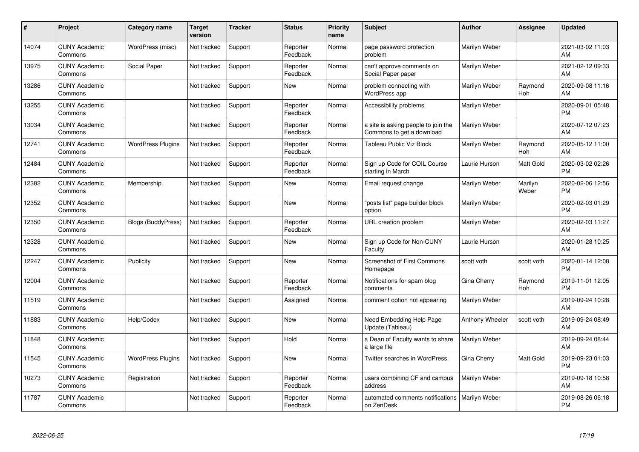| #     | Project                         | <b>Category name</b>      | Target<br>version | <b>Tracker</b> | <b>Status</b>        | <b>Priority</b><br>name | <b>Subject</b>                                                   | <b>Author</b>   | <b>Assignee</b>  | <b>Updated</b>                |
|-------|---------------------------------|---------------------------|-------------------|----------------|----------------------|-------------------------|------------------------------------------------------------------|-----------------|------------------|-------------------------------|
| 14074 | <b>CUNY Academic</b><br>Commons | WordPress (misc)          | Not tracked       | Support        | Reporter<br>Feedback | Normal                  | page password protection<br>problem                              | Marilyn Weber   |                  | 2021-03-02 11:03<br>AM        |
| 13975 | <b>CUNY Academic</b><br>Commons | Social Paper              | Not tracked       | Support        | Reporter<br>Feedback | Normal                  | can't approve comments on<br>Social Paper paper                  | Marilyn Weber   |                  | 2021-02-12 09:33<br>AM        |
| 13286 | <b>CUNY Academic</b><br>Commons |                           | Not tracked       | Support        | <b>New</b>           | Normal                  | problem connecting with<br>WordPress app                         | Marilyn Weber   | Raymond<br>Hoh   | 2020-09-08 11:16<br>AM        |
| 13255 | <b>CUNY Academic</b><br>Commons |                           | Not tracked       | Support        | Reporter<br>Feedback | Normal                  | Accessibility problems                                           | Marilyn Weber   |                  | 2020-09-01 05:48<br><b>PM</b> |
| 13034 | <b>CUNY Academic</b><br>Commons |                           | Not tracked       | Support        | Reporter<br>Feedback | Normal                  | a site is asking people to join the<br>Commons to get a download | Marilyn Weber   |                  | 2020-07-12 07:23<br>AM        |
| 12741 | <b>CUNY Academic</b><br>Commons | <b>WordPress Plugins</b>  | Not tracked       | Support        | Reporter<br>Feedback | Normal                  | Tableau Public Viz Block                                         | Marilyn Weber   | Raymond<br>Hoh   | 2020-05-12 11:00<br>AM        |
| 12484 | <b>CUNY Academic</b><br>Commons |                           | Not tracked       | Support        | Reporter<br>Feedback | Normal                  | Sign up Code for COIL Course<br>starting in March                | Laurie Hurson   | Matt Gold        | 2020-03-02 02:26<br><b>PM</b> |
| 12382 | <b>CUNY Academic</b><br>Commons | Membership                | Not tracked       | Support        | <b>New</b>           | Normal                  | Email request change                                             | Marilyn Weber   | Marilyn<br>Weber | 2020-02-06 12:56<br><b>PM</b> |
| 12352 | <b>CUNY Academic</b><br>Commons |                           | Not tracked       | Support        | <b>New</b>           | Normal                  | "posts list" page builder block<br>option                        | Marilyn Weber   |                  | 2020-02-03 01:29<br><b>PM</b> |
| 12350 | <b>CUNY Academic</b><br>Commons | <b>Blogs (BuddyPress)</b> | Not tracked       | Support        | Reporter<br>Feedback | Normal                  | URL creation problem                                             | Marilyn Weber   |                  | 2020-02-03 11:27<br>AM        |
| 12328 | <b>CUNY Academic</b><br>Commons |                           | Not tracked       | Support        | <b>New</b>           | Normal                  | Sign up Code for Non-CUNY<br>Faculty                             | Laurie Hurson   |                  | 2020-01-28 10:25<br>AM        |
| 12247 | <b>CUNY Academic</b><br>Commons | Publicity                 | Not tracked       | Support        | <b>New</b>           | Normal                  | <b>Screenshot of First Commons</b><br>Homepage                   | scott voth      | scott voth       | 2020-01-14 12:08<br><b>PM</b> |
| 12004 | <b>CUNY Academic</b><br>Commons |                           | Not tracked       | Support        | Reporter<br>Feedback | Normal                  | Notifications for spam blog<br>comments                          | Gina Cherry     | Raymond<br>Hoh   | 2019-11-01 12:05<br><b>PM</b> |
| 11519 | <b>CUNY Academic</b><br>Commons |                           | Not tracked       | Support        | Assigned             | Normal                  | comment option not appearing                                     | Marilyn Weber   |                  | 2019-09-24 10:28<br>AM        |
| 11883 | <b>CUNY Academic</b><br>Commons | Help/Codex                | Not tracked       | Support        | <b>New</b>           | Normal                  | Need Embedding Help Page<br>Update (Tableau)                     | Anthony Wheeler | scott voth       | 2019-09-24 08:49<br>AM        |
| 11848 | <b>CUNY Academic</b><br>Commons |                           | Not tracked       | Support        | Hold                 | Normal                  | a Dean of Faculty wants to share<br>a large file                 | Marilyn Weber   |                  | 2019-09-24 08:44<br>AM        |
| 11545 | <b>CUNY Academic</b><br>Commons | <b>WordPress Plugins</b>  | Not tracked       | Support        | <b>New</b>           | Normal                  | Twitter searches in WordPress                                    | Gina Cherry     | Matt Gold        | 2019-09-23 01:03<br><b>PM</b> |
| 10273 | <b>CUNY Academic</b><br>Commons | Registration              | Not tracked       | Support        | Reporter<br>Feedback | Normal                  | users combining CF and campus<br>address                         | Marilyn Weber   |                  | 2019-09-18 10:58<br>AM        |
| 11787 | <b>CUNY Academic</b><br>Commons |                           | Not tracked       | Support        | Reporter<br>Feedback | Normal                  | automated comments notifications<br>on ZenDesk                   | Marilyn Weber   |                  | 2019-08-26 06:18<br>PM        |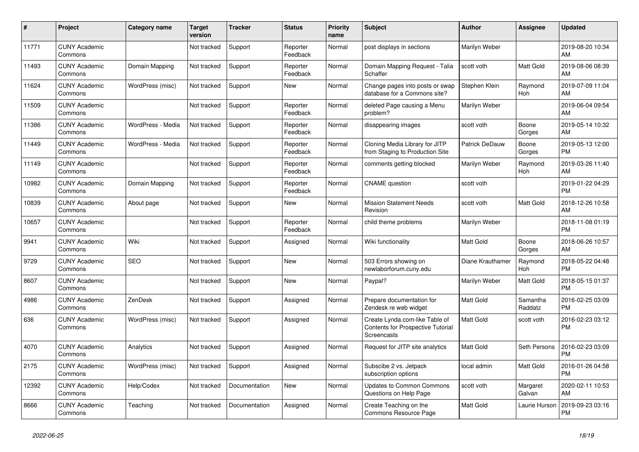| #     | Project                         | <b>Category name</b> | Target<br>version | <b>Tracker</b> | <b>Status</b>        | <b>Priority</b><br>name | <b>Subject</b>                                                                            | <b>Author</b>    | <b>Assignee</b>       | <b>Updated</b>                |
|-------|---------------------------------|----------------------|-------------------|----------------|----------------------|-------------------------|-------------------------------------------------------------------------------------------|------------------|-----------------------|-------------------------------|
| 11771 | <b>CUNY Academic</b><br>Commons |                      | Not tracked       | Support        | Reporter<br>Feedback | Normal                  | post displays in sections                                                                 | Marilyn Weber    |                       | 2019-08-20 10:34<br>AM        |
| 11493 | <b>CUNY Academic</b><br>Commons | Domain Mapping       | Not tracked       | Support        | Reporter<br>Feedback | Normal                  | Domain Mapping Request - Talia<br>Schaffer                                                | scott voth       | Matt Gold             | 2019-08-06 08:39<br>AM        |
| 11624 | <b>CUNY Academic</b><br>Commons | WordPress (misc)     | Not tracked       | Support        | <b>New</b>           | Normal                  | Change pages into posts or swap<br>database for a Commons site?                           | Stephen Klein    | Raymond<br><b>Hoh</b> | 2019-07-09 11:04<br>AM        |
| 11509 | <b>CUNY Academic</b><br>Commons |                      | Not tracked       | Support        | Reporter<br>Feedback | Normal                  | deleted Page causing a Menu<br>problem?                                                   | Marilyn Weber    |                       | 2019-06-04 09:54<br>AM        |
| 11386 | <b>CUNY Academic</b><br>Commons | WordPress - Media    | Not tracked       | Support        | Reporter<br>Feedback | Normal                  | disappearing images                                                                       | scott voth       | Boone<br>Gorges       | 2019-05-14 10:32<br>AM        |
| 11449 | <b>CUNY Academic</b><br>Commons | WordPress - Media    | Not tracked       | Support        | Reporter<br>Feedback | Normal                  | Cloning Media Library for JITP<br>from Staging to Production Site                         | Patrick DeDauw   | Boone<br>Gorges       | 2019-05-13 12:00<br><b>PM</b> |
| 11149 | <b>CUNY Academic</b><br>Commons |                      | Not tracked       | Support        | Reporter<br>Feedback | Normal                  | comments getting blocked                                                                  | Marilyn Weber    | Raymond<br>Hoh        | 2019-03-26 11:40<br>AM        |
| 10982 | <b>CUNY Academic</b><br>Commons | Domain Mapping       | Not tracked       | Support        | Reporter<br>Feedback | Normal                  | <b>CNAME</b> question                                                                     | scott voth       |                       | 2019-01-22 04:29<br><b>PM</b> |
| 10839 | <b>CUNY Academic</b><br>Commons | About page           | Not tracked       | Support        | <b>New</b>           | Normal                  | Mission Statement Needs<br>Revision                                                       | scott voth       | Matt Gold             | 2018-12-26 10:58<br>AM        |
| 10657 | <b>CUNY Academic</b><br>Commons |                      | Not tracked       | Support        | Reporter<br>Feedback | Normal                  | child theme problems                                                                      | Marilyn Weber    |                       | 2018-11-08 01:19<br><b>PM</b> |
| 9941  | <b>CUNY Academic</b><br>Commons | Wiki                 | Not tracked       | Support        | Assigned             | Normal                  | Wiki functionality                                                                        | <b>Matt Gold</b> | Boone<br>Gorges       | 2018-06-26 10:57<br>AM        |
| 9729  | <b>CUNY Academic</b><br>Commons | <b>SEO</b>           | Not tracked       | Support        | New                  | Normal                  | 503 Errors showing on<br>newlaborforum.cuny.edu                                           | Diane Krauthamer | Raymond<br><b>Hoh</b> | 2018-05-22 04:48<br><b>PM</b> |
| 8607  | <b>CUNY Academic</b><br>Commons |                      | Not tracked       | Support        | <b>New</b>           | Normal                  | Paypal?                                                                                   | Marilyn Weber    | Matt Gold             | 2018-05-15 01:37<br><b>PM</b> |
| 4986  | <b>CUNY Academic</b><br>Commons | ZenDesk              | Not tracked       | Support        | Assigned             | Normal                  | Prepare documentation for<br>Zendesk re web widget                                        | Matt Gold        | Samantha<br>Raddatz   | 2016-02-25 03:09<br><b>PM</b> |
| 636   | <b>CUNY Academic</b><br>Commons | WordPress (misc)     | Not tracked       | Support        | Assigned             | Normal                  | Create Lynda.com-like Table of<br><b>Contents for Prospective Tutorial</b><br>Screencasts | Matt Gold        | scott voth            | 2016-02-23 03:12<br><b>PM</b> |
| 4070  | <b>CUNY Academic</b><br>Commons | Analytics            | Not tracked       | Support        | Assigned             | Normal                  | Request for JITP site analytics                                                           | Matt Gold        | Seth Persons          | 2016-02-23 03:09<br><b>PM</b> |
| 2175  | <b>CUNY Academic</b><br>Commons | WordPress (misc)     | Not tracked       | Support        | Assigned             | Normal                  | Subscibe 2 vs. Jetpack<br>subscription options                                            | local admin      | Matt Gold             | 2016-01-26 04:58<br><b>PM</b> |
| 12392 | <b>CUNY Academic</b><br>Commons | Help/Codex           | Not tracked       | Documentation  | <b>New</b>           | Normal                  | Updates to Common Commons<br>Questions on Help Page                                       | scott voth       | Margaret<br>Galvan    | 2020-02-11 10:53<br>AM        |
| 8666  | <b>CUNY Academic</b><br>Commons | Teaching             | Not tracked       | Documentation  | Assigned             | Normal                  | Create Teaching on the<br>Commons Resource Page                                           | <b>Matt Gold</b> | Laurie Hurson         | 2019-09-23 03:16<br><b>PM</b> |